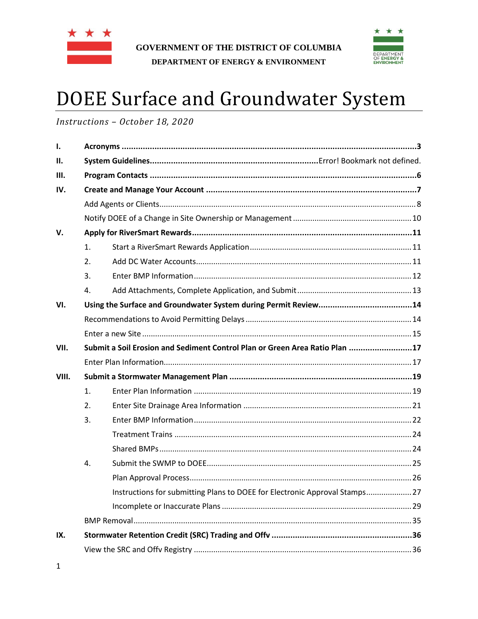



# **DOEE Surface and Groundwater System**

Instructions - October 18, 2020

| Ι.    |    |                                                                             |  |  |
|-------|----|-----------------------------------------------------------------------------|--|--|
| II.   |    |                                                                             |  |  |
| III.  |    |                                                                             |  |  |
| IV.   |    |                                                                             |  |  |
|       |    |                                                                             |  |  |
|       |    |                                                                             |  |  |
| V.    |    |                                                                             |  |  |
|       | 1. |                                                                             |  |  |
|       | 2. |                                                                             |  |  |
|       | 3. |                                                                             |  |  |
|       | 4. |                                                                             |  |  |
| VI.   |    |                                                                             |  |  |
|       |    |                                                                             |  |  |
|       |    |                                                                             |  |  |
| VII.  |    | Submit a Soil Erosion and Sediment Control Plan or Green Area Ratio Plan 17 |  |  |
|       |    |                                                                             |  |  |
| VIII. |    |                                                                             |  |  |
|       | 1. |                                                                             |  |  |
|       | 2. |                                                                             |  |  |
|       | 3. |                                                                             |  |  |
|       |    |                                                                             |  |  |
|       |    |                                                                             |  |  |
|       | 4. |                                                                             |  |  |
|       |    |                                                                             |  |  |
|       |    | Instructions for submitting Plans to DOEE for Electronic Approval Stamps 27 |  |  |
|       |    |                                                                             |  |  |
|       |    |                                                                             |  |  |
| IX.   |    |                                                                             |  |  |
|       |    |                                                                             |  |  |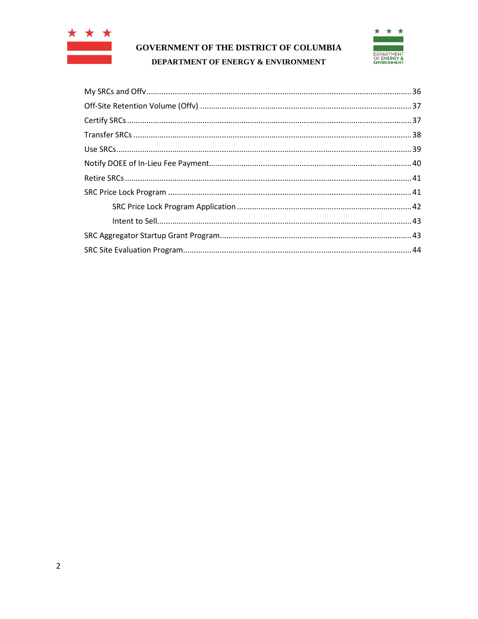



<span id="page-1-0"></span>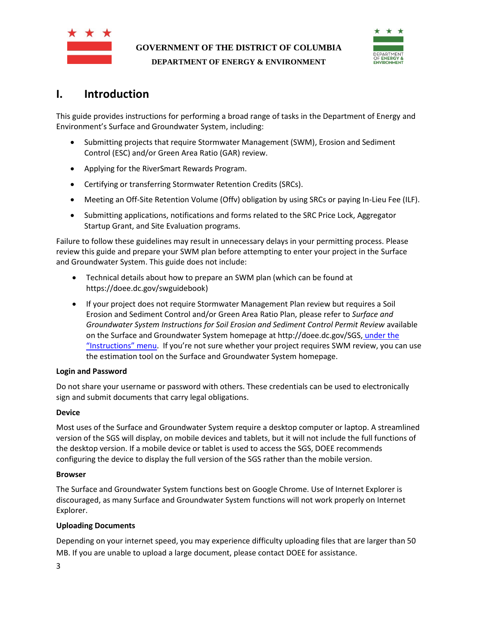



# **I. Introduction**

This guide provides instructions for performing a broad range of tasks in the Department of Energy and Environment's Surface and Groundwater System, including:

- Submitting projects that require Stormwater Management (SWM), Erosion and Sediment Control (ESC) and/or Green Area Ratio (GAR) review.
- Applying for the RiverSmart Rewards Program.
- Certifying or transferring Stormwater Retention Credits (SRCs).
- Meeting an Off-Site Retention Volume (Offv) obligation by using SRCs or paying In-Lieu Fee (ILF).
- Submitting applications, notifications and forms related to the SRC Price Lock, Aggregator Startup Grant, and Site Evaluation programs.

Failure to follow these guidelines may result in unnecessary delays in your permitting process. Please review this guide and prepare your SWM plan before attempting to enter your project in the Surface and Groundwater System. This guide does not include:

- Technical details about how to prepare an SWM plan (which can be found at https://doee.dc.gov/swguidebook)
- If your project does not require Stormwater Management Plan review but requires a Soil Erosion and Sediment Control and/or Green Area Ratio Plan, please refer to *Surface and Groundwater System Instructions for Soil Erosion and Sediment Control Permit Review* available on the Surface and Groundwater System homepage at http://doee.dc.gov/SGS, under the "Instructions" menu. If you're not sure whether your project requires SWM review, you can use the estimation tool on the Surface and Groundwater System homepage.

#### **Login and Password**

Do not share your username or password with others. These credentials can be used to electronically sign and submit documents that carry legal obligations.

#### **Device**

Most uses of the Surface and Groundwater System require a desktop computer or laptop. A streamlined version of the SGS will display, on mobile devices and tablets, but it will not include the full functions of the desktop version. If a mobile device or tablet is used to access the SGS, DOEE recommends configuring the device to display the full version of the SGS rather than the mobile version.

#### **Browser**

The Surface and Groundwater System functions best on Google Chrome. Use of Internet Explorer is discouraged, as many Surface and Groundwater System functions will not work properly on Internet Explorer.

#### **Uploading Documents**

Depending on your internet speed, you may experience difficulty uploading files that are larger than 50 MB. If you are unable to upload a large document, please contact DOEE for assistance.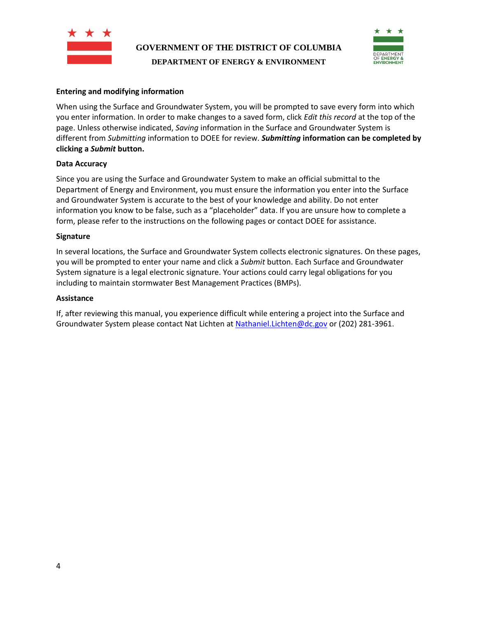



#### **Entering and modifying information**

When using the Surface and Groundwater System, you will be prompted to save every form into which you enter information. In order to make changes to a saved form, click *Edit this record* at the top of the page. Unless otherwise indicated, *Saving* information in the Surface and Groundwater System is different from *Submitting* information to DOEE for review. *Submitting* **information can be completed by clicking a** *Submit* **button.**

#### **Data Accuracy**

Since you are using the Surface and Groundwater System to make an official submittal to the Department of Energy and Environment, you must ensure the information you enter into the Surface and Groundwater System is accurate to the best of your knowledge and ability. Do not enter information you know to be false, such as a "placeholder" data. If you are unsure how to complete a form, please refer to the instructions on the following pages or contact DOEE for assistance.

#### **Signature**

In several locations, the Surface and Groundwater System collects electronic signatures. On these pages, you will be prompted to enter your name and click a *Submit* button. Each Surface and Groundwater System signature is a legal electronic signature. Your actions could carry legal obligations for you including to maintain stormwater Best Management Practices (BMPs).

#### **Assistance**

If, after reviewing this manual, you experience difficult while entering a project into the Surface and Groundwater System please contact Nat Lichten a[t Nathaniel.Lichten@dc.gov](mailto:Nathaniel.Lichten@dc.gov) or (202) 281-3961.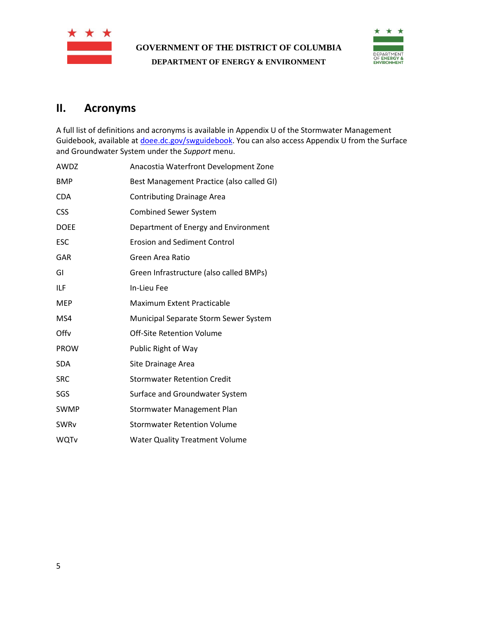



## **II. Acronyms**

A full list of definitions and acronyms is available in Appendix U of the Stormwater Management Guidebook, available a[t doee.dc.gov/swguidebook.](http://doee.dc.gov/swguidebook) You can also access Appendix U from the Surface and Groundwater System under the *Support* menu.

| AWDZ        | Anacostia Waterfront Development Zone     |
|-------------|-------------------------------------------|
| <b>BMP</b>  | Best Management Practice (also called GI) |
| <b>CDA</b>  | <b>Contributing Drainage Area</b>         |
| <b>CSS</b>  | <b>Combined Sewer System</b>              |
| <b>DOEE</b> | Department of Energy and Environment      |
| <b>ESC</b>  | <b>Erosion and Sediment Control</b>       |
| GAR         | Green Area Ratio                          |
| GI          | Green Infrastructure (also called BMPs)   |
| ILF         | In-Lieu Fee                               |
| <b>MEP</b>  | <b>Maximum Extent Practicable</b>         |
| MS4         | Municipal Separate Storm Sewer System     |
| Offy        | Off-Site Retention Volume                 |
| <b>PROW</b> | Public Right of Way                       |
| <b>SDA</b>  | Site Drainage Area                        |
| <b>SRC</b>  | <b>Stormwater Retention Credit</b>        |
| SGS         | Surface and Groundwater System            |
| <b>SWMP</b> | Stormwater Management Plan                |
| SWRv        | <b>Stormwater Retention Volume</b>        |
| WQTv        | <b>Water Quality Treatment Volume</b>     |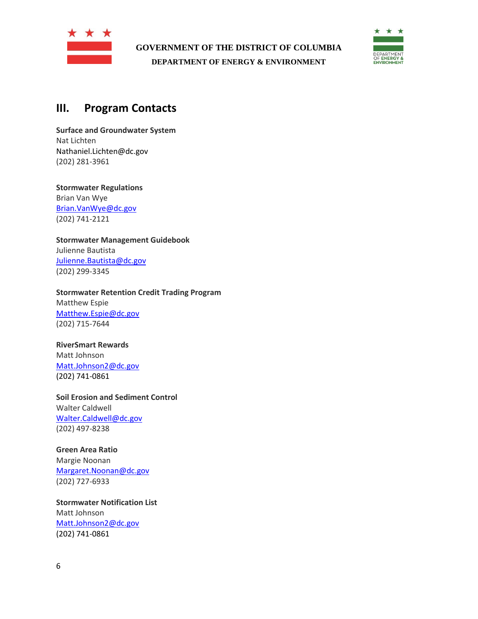



## <span id="page-5-0"></span>**III. Program Contacts**

**Surface and Groundwater System** Nat Lichten Nathaniel.Lichten@dc.gov (202) 281-3961

**Stormwater Regulations** Brian Van Wye [Brian.VanWye@dc.gov](mailto:Brian.VanWye@dc.gov) (202) 741-2121

**Stormwater Management Guidebook** Julienne Bautista [Julienne.Bautista@dc.gov](mailto:Julienne.Bautista@dc.gov) (202) 299-3345

**Stormwater Retention Credit Trading Program** Matthew Espie [Matthew.Espie@dc.gov](mailto:Matthew.Espie@dc.gov) (202) 715-7644

#### **RiverSmart Rewards**

Matt Johnson [Matt.Johnson2@dc.gov](mailto:Matt.Johnson2@dc.gov) (202) 741-0861

**Soil Erosion and Sediment Control** Walter Caldwell [Walter.Caldwell@dc.gov](mailto:Walter.Caldwell@dc.gov) (202) 497-8238

#### **Green Area Ratio**

Margie Noonan [Margaret.Noonan@dc.gov](mailto:Margaret.Noonan@dc.gov) (202) 727-6933

**Stormwater Notification List** Matt Johnson [Matt.Johnson2@dc.gov](mailto:Matt.Johnson2@dc.gov) (202) 741-0861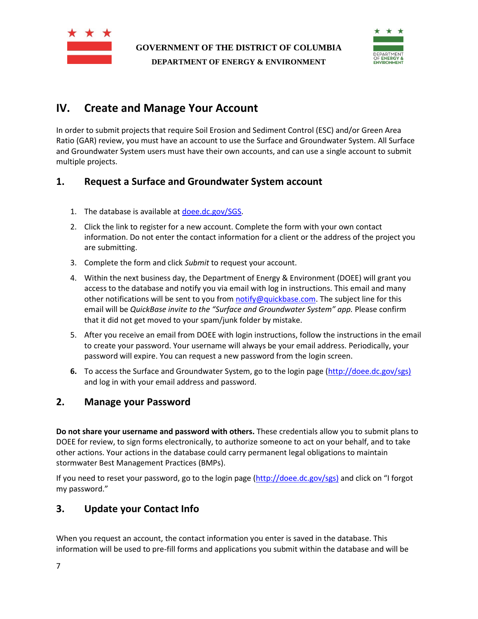



# <span id="page-6-0"></span>**IV. Create and Manage Your Account**

In order to submit projects that require Soil Erosion and Sediment Control (ESC) and/or Green Area Ratio (GAR) review, you must have an account to use the Surface and Groundwater System. All Surface and Groundwater System users must have their own accounts, and can use a single account to submit multiple projects.

## **1. Request a Surface and Groundwater System account**

- 1. The database is available at [doee.dc.gov/SGS.](http://doee.dc.gov/sgs)
- 2. Click the link to register for a new account. Complete the form with your own contact information. Do not enter the contact information for a client or the address of the project you are submitting.
- 3. Complete the form and click *Submit* to request your account.
- 4. Within the next business day, the Department of Energy & Environment (DOEE) will grant you access to the database and notify you via email with log in instructions. This email and many other notifications will be sent to you from [notify@quickbase.com.](mailto:notify@quickbase.com) The subject line for this email will be *QuickBase invite to the "Surface and Groundwater System" app.* Please confirm that it did not get moved to your spam/junk folder by mistake.
- 5. After you receive an email from DOEE with login instructions, follow the instructions in the email to create your password. Your username will always be your email address. Periodically, your password will expire. You can request a new password from the login screen.
- **6.** To access the Surface and Groundwater System, go to the login page [\(http://doee.dc.gov/sgs\)](http://doee.dc.gov/swdb) and log in with your email address and password.

## **2. Manage your Password**

**Do not share your username and password with others.** These credentials allow you to submit plans to DOEE for review, to sign forms electronically, to authorize someone to act on your behalf, and to take other actions. Your actions in the database could carry permanent legal obligations to maintain stormwater Best Management Practices (BMPs).

If you need to reset your password, go to the login page [\(http://doee.dc.gov/sgs\)](http://doee.dc.gov/swdb) and click on "I forgot my password."

## **3. Update your Contact Info**

When you request an account, the contact information you enter is saved in the database. This information will be used to pre-fill forms and applications you submit within the database and will be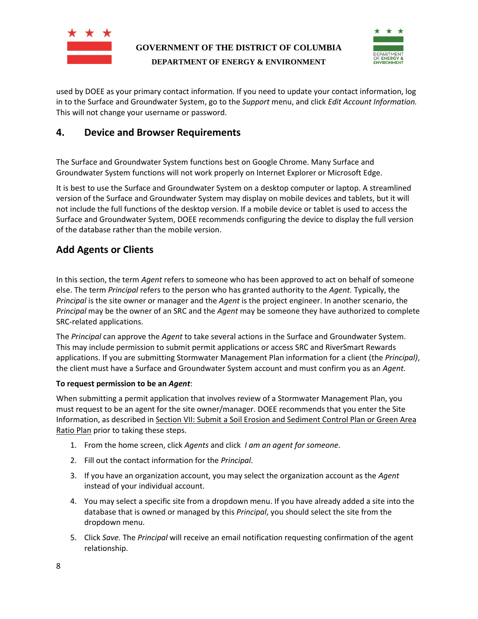

# **GOVERNMENT OF THE DISTRICT OF COLUMBIA**



**DEPARTMENT OF ENERGY & ENVIRONMENT**

used by DOEE as your primary contact information. If you need to update your contact information, log in to the Surface and Groundwater System, go to the *Support* menu, and click *Edit Account Information.*  This will not change your username or password.

## **4. Device and Browser Requirements**

The Surface and Groundwater System functions best on Google Chrome. Many Surface and Groundwater System functions will not work properly on Internet Explorer or Microsoft Edge.

It is best to use the Surface and Groundwater System on a desktop computer or laptop. A streamlined version of the Surface and Groundwater System may display on mobile devices and tablets, but it will not include the full functions of the desktop version. If a mobile device or tablet is used to access the Surface and Groundwater System, DOEE recommends configuring the device to display the full version of the database rather than the mobile version.

## <span id="page-7-0"></span>**Add Agents or Clients**

In this section, the term *Agent* refers to someone who has been approved to act on behalf of someone else. The term *Principal* refers to the person who has granted authority to the *Agent.* Typically, the *Principal* is the site owner or manager and the *Agent* is the project engineer. In another scenario, the *Principal* may be the owner of an SRC and the *Agent* may be someone they have authorized to complete SRC-related applications.

The *Principal* can approve the *Agent* to take several actions in the Surface and Groundwater System. This may include permission to submit permit applications or access SRC and RiverSmart Rewards applications. If you are submitting Stormwater Management Plan information for a client (the *Principal)*, the client must have a Surface and Groundwater System account and must confirm you as an *Agent.* 

#### **To request permission to be an** *Agent*:

When submitting a permit application that involves review of a Stormwater Management Plan, you must request to be an agent for the site owner/manager. DOEE recommends that you enter the Site Information, as described in Section [VII:](#page-16-0) Submit a Soil [Erosion and Sediment Control Plan or Green Area](#page-16-0)  [Ratio Plan](#page-16-0) prior to taking these steps.

- 1. From the home screen, click *Agents* and click *I am an agent for someone*.
- 2. Fill out the contact information for the *Principal*.
- 3. If you have an organization account, you may select the organization account as the *Agent* instead of your individual account.
- 4. You may select a specific site from a dropdown menu. If you have already added a site into the database that is owned or managed by this *Principal*, you should select the site from the dropdown menu.
- 5. Click *Save.* The *Principal* will receive an email notification requesting confirmation of the agent relationship.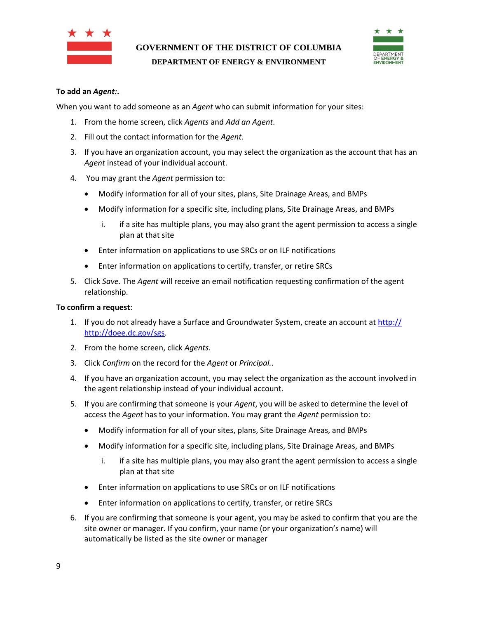



#### **To add an** *Agent:***.**

When you want to add someone as an *Agent* who can submit information for your sites:

- 1. From the home screen, click *Agents* and *Add an Agent*.
- 2. Fill out the contact information for the *Agent*.
- 3. If you have an organization account, you may select the organization as the account that has an *Agent* instead of your individual account.
- 4. You may grant the *Agent* permission to:
	- Modify information for all of your sites, plans, Site Drainage Areas, and BMPs
	- Modify information for a specific site, including plans, Site Drainage Areas, and BMPs
		- i. if a site has multiple plans, you may also grant the agent permission to access a single plan at that site
	- Enter information on applications to use SRCs or on ILF notifications
	- Enter information on applications to certify, transfer, or retire SRCs
- 5. Click *Save.* The *Agent* will receive an email notification requesting confirmation of the agent relationship.

#### **To confirm a request**:

- 1. If you do not already have a Surface and Groundwater System, create an account at [http://](http://doee.dc.gov/swdb) [http://doee.dc.gov/sgs.](http://doee.dc.gov/swdb)
- 2. From the home screen, click *Agents.*
- 3. Click *Confirm* on the record for the *Agent* or *Principal.*.
- 4. If you have an organization account, you may select the organization as the account involved in the agent relationship instead of your individual account.
- 5. If you are confirming that someone is your *Agent*, you will be asked to determine the level of access the *Agent* has to your information. You may grant the *Agent* permission to:
	- Modify information for all of your sites, plans, Site Drainage Areas, and BMPs
	- Modify information for a specific site, including plans, Site Drainage Areas, and BMPs
		- i. if a site has multiple plans, you may also grant the agent permission to access a single plan at that site
	- Enter information on applications to use SRCs or on ILF notifications
	- Enter information on applications to certify, transfer, or retire SRCs
- 6. If you are confirming that someone is your agent, you may be asked to confirm that you are the site owner or manager. If you confirm, your name (or your organization's name) will automatically be listed as the site owner or manager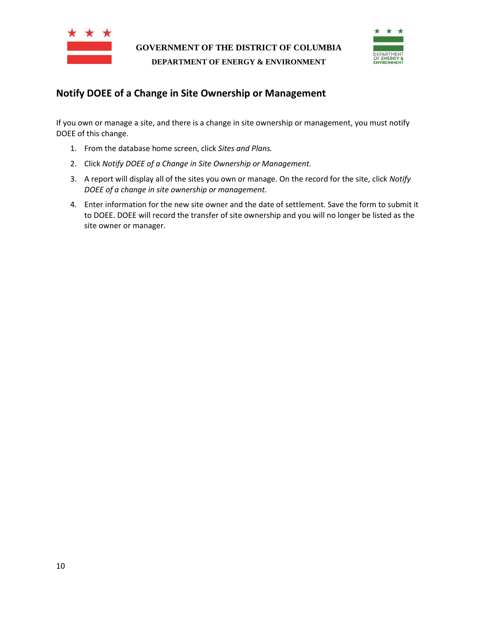



## <span id="page-9-0"></span>**Notify DOEE of a Change in Site Ownership or Management**

If you own or manage a site, and there is a change in site ownership or management, you must notify DOEE of this change.

- 1. From the database home screen, click *Sites and Plans.*
- 2. Click *Notify DOEE of a Change in Site Ownership or Management.*
- 3. A report will display all of the sites you own or manage. On the record for the site, click *Notify DOEE of a change in site ownership or management.*
- 4. Enter information for the new site owner and the date of settlement. Save the form to submit it to DOEE. DOEE will record the transfer of site ownership and you will no longer be listed as the site owner or manager.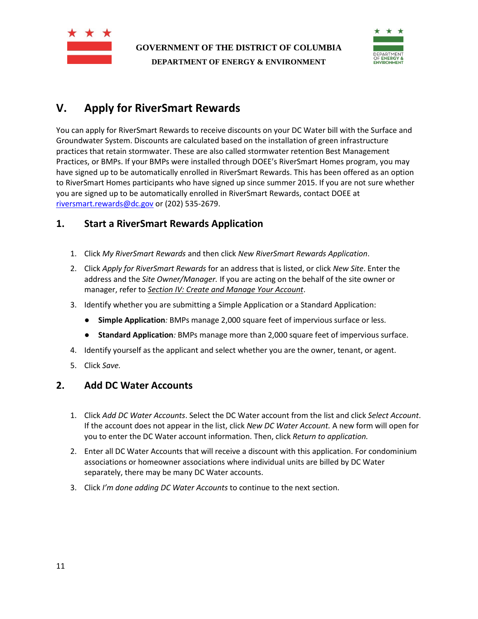



# <span id="page-10-0"></span>**V. Apply for RiverSmart Rewards**

You can apply for RiverSmart Rewards to receive discounts on your DC Water bill with the Surface and Groundwater System. Discounts are calculated based on the installation of green infrastructure practices that retain stormwater. These are also called stormwater retention Best Management Practices, or BMPs. If your BMPs were installed through DOEE's RiverSmart Homes program, you may have signed up to be automatically enrolled in RiverSmart Rewards. This has been offered as an option to RiverSmart Homes participants who have signed up since summer 2015. If you are not sure whether you are signed up to be automatically enrolled in RiverSmart Rewards, contact DOEE at [riversmart.rewards@dc.gov](mailto:riversmart.rewards@dc.gov) or (202) 535-2679.

## <span id="page-10-1"></span>**1. Start a RiverSmart Rewards Application**

- 1. Click *My RiverSmart Rewards* and then click *New RiverSmart Rewards Application*.
- 2. Click *Apply for RiverSmart Rewards* for an address that is listed, or click *New Site*. Enter the address and the *Site Owner/Manager.* If you are acting on the behalf of the site owner or manager, refer to *Section [IV: Create and Manage Your Account](#page-6-0)*.
- 3. Identify whether you are submitting a Simple Application or a Standard Application:
	- **Simple Application***:* BMPs manage 2,000 square feet of impervious surface or less.
	- **Standard Application***:* BMPs manage more than 2,000 square feet of impervious surface.
- 4. Identify yourself as the applicant and select whether you are the owner, tenant, or agent.
- 5. Click *Save.*

## <span id="page-10-2"></span>**2. Add DC Water Accounts**

- 1. Click *Add DC Water Accounts*. Select the DC Water account from the list and click *Select Account*. If the account does not appear in the list, click *New DC Water Account.* A new form will open for you to enter the DC Water account information. Then, click *Return to application.*
- 2. Enter all DC Water Accounts that will receive a discount with this application. For condominium associations or homeowner associations where individual units are billed by DC Water separately, there may be many DC Water accounts.
- 3. Click *I'm done adding DC Water Accounts* to continue to the next section.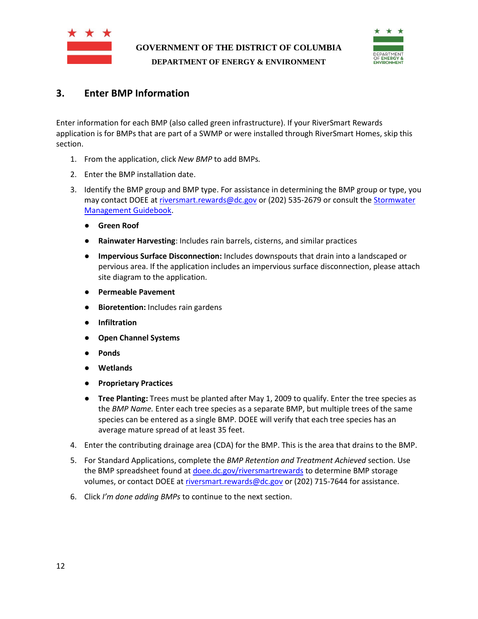



## <span id="page-11-0"></span>**3. Enter BMP Information**

Enter information for each BMP (also called green infrastructure). If your RiverSmart Rewards application is for BMPs that are part of a SWMP or were installed through RiverSmart Homes, skip this section.

- 1. From the application, click *New BMP* to add BMPs*.*
- 2. Enter the BMP installation date.
- 3. Identify the BMP group and BMP type. For assistance in determining the BMP group or type, you may contact DOEE at [riversmart.rewards@dc.gov](mailto:riversmart.rewards@dc.gov) or (202) 535-2679 or consult the [Stormwater](http://doee.dc.gov/swguidebook)  [Management Guidebook.](http://doee.dc.gov/swguidebook)
	- **Green Roof**
	- **Rainwater Harvesting**: Includes rain barrels, cisterns, and similar practices
	- **Impervious Surface Disconnection:** Includes downspouts that drain into a landscaped or pervious area. If the application includes an impervious surface disconnection, please attach site diagram to the application.
	- **Permeable Pavement**
	- **Bioretention:** Includes rain gardens
	- **Infiltration**
	- **Open Channel Systems**
	- **Ponds**
	- **Wetlands**
	- **Proprietary Practices**
	- **Tree Planting:** Trees must be planted after May 1, 2009 to qualify. Enter the tree species as the *BMP Name.* Enter each tree species as a separate BMP, but multiple trees of the same species can be entered as a single BMP. DOEE will verify that each tree species has an average mature spread of at least 35 feet.
- 4. Enter the contributing drainage area (CDA) for the BMP. This is the area that drains to the BMP.
- 5. For Standard Applications, complete the *BMP Retention and Treatment Achieved* section. Use the BMP spreadsheet found at *doee.dc.gov/riversmartrewards* to determine BMP storage volumes, or contact DOEE a[t riversmart.rewards@dc.gov](mailto:riversmart.rewards@dc.gov) or (202) 715-7644 for assistance.
- 6. Click *I'm done adding BMPs* to continue to the next section.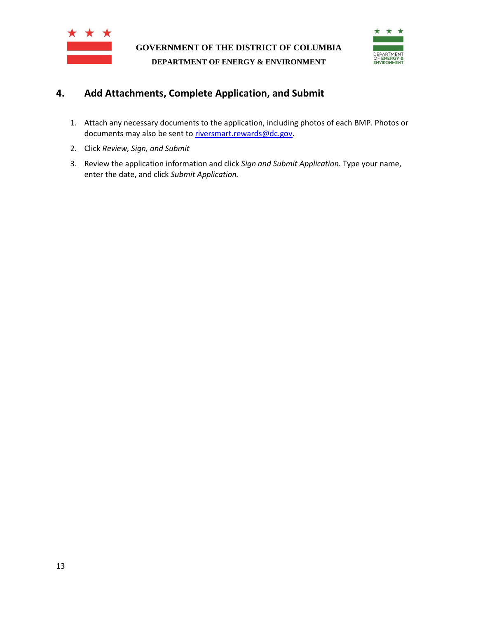



## <span id="page-12-0"></span>**4. Add Attachments, Complete Application, and Submit**

- 1. Attach any necessary documents to the application, including photos of each BMP. Photos or documents may also be sent to [riversmart.rewards@dc.gov.](mailto:riversmart.rewards@dc.gov)
- 2. Click *Review, Sign, and Submit*
- 3. Review the application information and click *Sign and Submit Application.* Type your name, enter the date, and click *Submit Application.*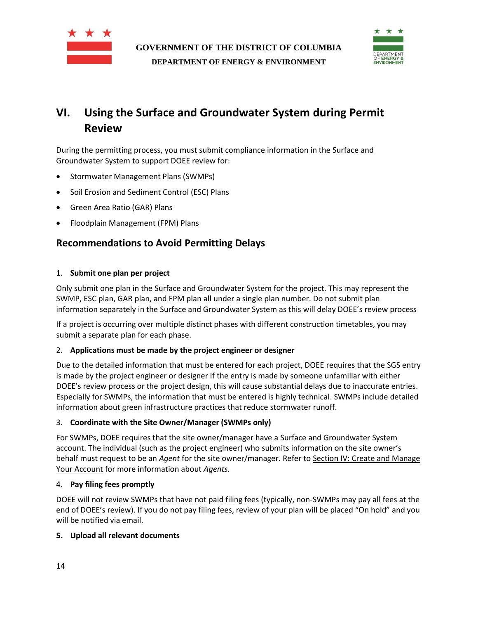



# <span id="page-13-0"></span>**VI. Using the Surface and Groundwater System during Permit Review**

During the permitting process, you must submit compliance information in the Surface and Groundwater System to support DOEE review for:

- Stormwater Management Plans (SWMPs)
- Soil Erosion and Sediment Control (ESC) Plans
- Green Area Ratio (GAR) Plans
- Floodplain Management (FPM) Plans

## <span id="page-13-1"></span>**Recommendations to Avoid Permitting Delays**

#### 1. **Submit one plan per project**

Only submit one plan in the Surface and Groundwater System for the project. This may represent the SWMP, ESC plan, GAR plan, and FPM plan all under a single plan number. Do not submit plan information separately in the Surface and Groundwater System as this will delay DOEE's review process

If a project is occurring over multiple distinct phases with different construction timetables, you may submit a separate plan for each phase.

#### 2. **Applications must be made by the project engineer or designer**

Due to the detailed information that must be entered for each project, DOEE requires that the SGS entry is made by the project engineer or designer If the entry is made by someone unfamiliar with either DOEE's review process or the project design, this will cause substantial delays due to inaccurate entries. Especially for SWMPs, the information that must be entered is highly technical. SWMPs include detailed information about green infrastructure practices that reduce stormwater runoff.

#### 3. **Coordinate with the Site Owner/Manager (SWMPs only)**

For SWMPs, DOEE requires that the site owner/manager have a Surface and Groundwater System account. The individual (such as the project engineer) who submits information on the site owner's behalf must request to be an *Agent* for the site owner/manager. Refer to Section [IV: Create and Manage](#page-6-0)  [Your Account](#page-6-0) for more information about *Agents.* 

#### 4. **Pay filing fees promptly**

DOEE will not review SWMPs that have not paid filing fees (typically, non-SWMPs may pay all fees at the end of DOEE's review). If you do not pay filing fees, review of your plan will be placed "On hold" and you will be notified via email.

#### **5. Upload all relevant documents**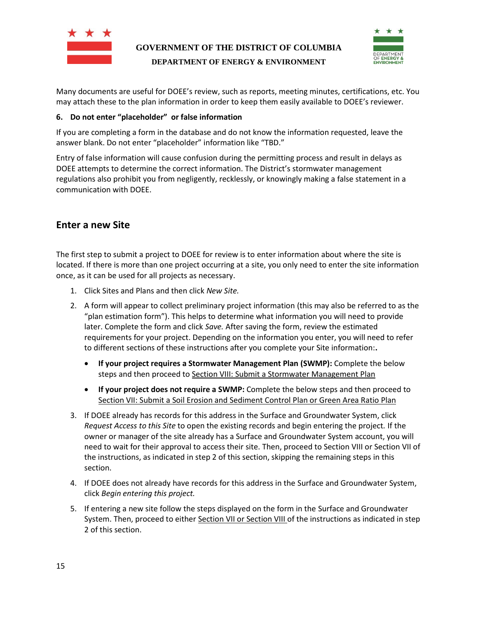



Many documents are useful for DOEE's review, such as reports, meeting minutes, certifications, etc. You may attach these to the plan information in order to keep them easily available to DOEE's reviewer.

#### **6. Do not enter "placeholder" or false information**

If you are completing a form in the database and do not know the information requested, leave the answer blank. Do not enter "placeholder" information like "TBD."

Entry of false information will cause confusion during the permitting process and result in delays as DOEE attempts to determine the correct information. The District's stormwater management regulations also prohibit you from negligently, recklessly, or knowingly making a false statement in a communication with DOEE.

#### <span id="page-14-0"></span>**Enter a new Site**

The first step to submit a project to DOEE for review is to enter information about where the site is located. If there is more than one project occurring at a site, you only need to enter the site information once, as it can be used for all projects as necessary.

- 1. Click Sites and Plans and then click *New Site.*
- 2. A form will appear to collect preliminary project information (this may also be referred to as the "plan estimation form"). This helps to determine what information you will need to provide later. Complete the form and click *Save.* After saving the form, review the estimated requirements for your project. Depending on the information you enter, you will need to refer to different sections of these instructions after you complete your Site information:**.**
	- **If your project requires a Stormwater Management Plan (SWMP):** Complete the below steps and then proceed to Section [VIII: Submit a Stormwater Management Plan](#page-18-0)
	- **If your project does not require a SWMP:** Complete the below steps and then proceed to Section [VII:](#page-16-0) Submit a Soil [Erosion and Sediment Control Plan or Green Area Ratio Plan](#page-16-0)
- 3. If DOEE already has records for this address in the Surface and Groundwater System, click *Request Access to this Site* to open the existing records and begin entering the project*.* If the owner or manager of the site already has a Surface and Groundwater System account, you will need to wait for their approval to access their site. Then, proceed to Section [VIII](#page-18-0) or Section [VII](#page-16-0) of the instructions, as indicated in step 2 of this section, skipping the remaining steps in this section.
- 4. If DOEE does not already have records for this address in the Surface and Groundwater System, click *Begin entering this project.*
- 5. If entering a new site follow the steps displayed on the form in the Surface and Groundwater System. Then, proceed to either Section [VII](#page-16-0) or Section [VIII](#page-18-0) of the instructions as indicated in step 2 of this section.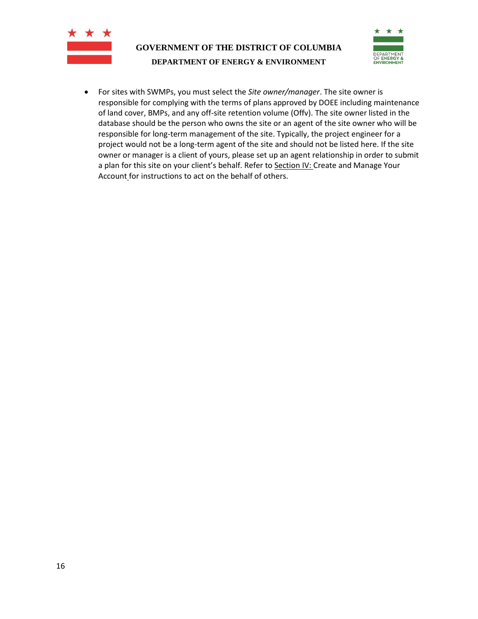



• For sites with SWMPs, you must select the *Site owner/manager*. The site owner is responsible for complying with the terms of plans approved by DOEE including maintenance of land cover, BMPs, and any off-site retention volume (Offv). The site owner listed in the database should be the person who owns the site or an agent of the site owner who will be responsible for long-term management of the site. Typically, the project engineer for a project would not be a long-term agent of the site and should not be listed here. If the site owner or manager is a client of yours, please set up an agent relationship in order to submit a plan for this site on your client's behalf. Refer to **Section [IV:](#page-6-0) Create and Manage Your** [Account](#page-6-0) for instructions to act on the behalf of others.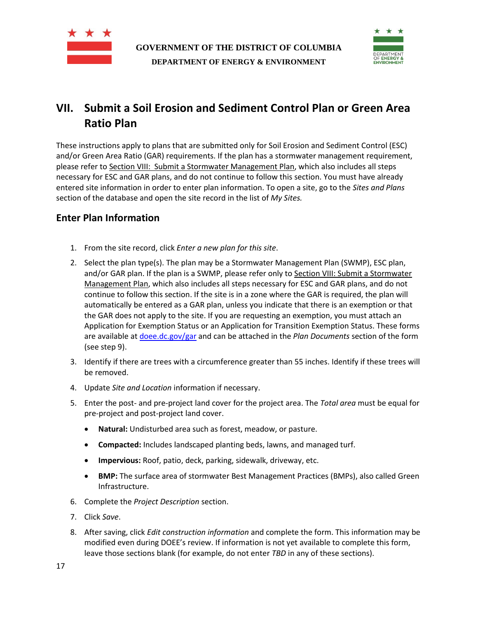



# <span id="page-16-0"></span>**VII. Submit a Soil Erosion and Sediment Control Plan or Green Area Ratio Plan**

These instructions apply to plans that are submitted only for Soil Erosion and Sediment Control (ESC) and/or Green Area Ratio (GAR) requirements. If the plan has a stormwater management requirement, please refer to Section [VIII: Submit a Stormwater Management Plan,](#page-18-0) which also includes all steps necessary for ESC and GAR plans, and do not continue to follow this section. You must have already entered site information in order to enter plan information. To open a site, go to the *Sites and Plans*  section of the database and open the site record in the list of *My Sites.* 

## <span id="page-16-1"></span>**Enter Plan Information**

- 1. From the site record, click *Enter a new plan for this site*.
- 2. Select the plan type(s). The plan may be a Stormwater Management Plan (SWMP), ESC plan, and/or GAR plan. If the plan is a SWMP, please refer only to Section VIII: Submit a Stormwater [Management Plan,](#page-18-0) which also includes all steps necessary for ESC and GAR plans, and do not continue to follow this section. If the site is in a zone where the GAR is required, the plan will automatically be entered as a GAR plan, unless you indicate that there is an exemption or that the GAR does not apply to the site. If you are requesting an exemption, you must attach an Application for Exemption Status or an Application for Transition Exemption Status. These forms are available a[t doee.dc.gov/gar](http://doee.dc.gov/gar) and can be attached in the *Plan Documents* section of the form (see step 9).
- 3. Identify if there are trees with a circumference greater than 55 inches. Identify if these trees will be removed.
- 4. Update *Site and Location* information if necessary.
- 5. Enter the post- and pre-project land cover for the project area. The *Total area* must be equal for pre-project and post-project land cover.
	- **Natural:** Undisturbed area such as forest, meadow, or pasture.
	- **Compacted:** Includes landscaped planting beds, lawns, and managed turf.
	- **Impervious:** Roof, patio, deck, parking, sidewalk, driveway, etc.
	- **BMP:** The surface area of stormwater Best Management Practices (BMPs), also called Green Infrastructure.
- 6. Complete the *Project Description* section.
- 7. Click *Save*.
- 8. After saving, click *Edit construction information* and complete the form. This information may be modified even during DOEE's review. If information is not yet available to complete this form, leave those sections blank (for example, do not enter *TBD* in any of these sections).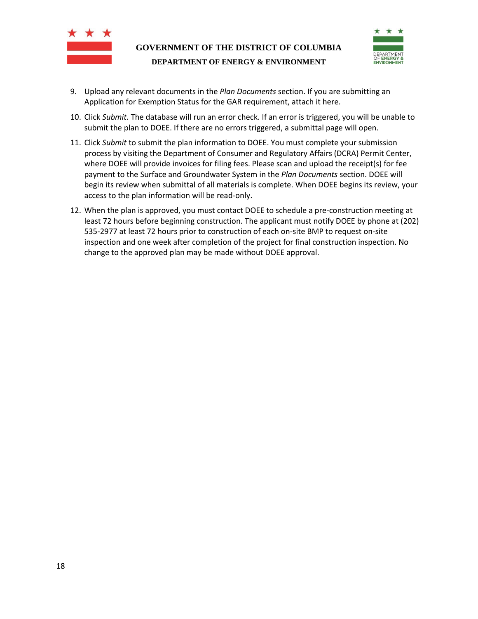



- 9. Upload any relevant documents in the *Plan Documents* section. If you are submitting an Application for Exemption Status for the GAR requirement, attach it here.
- 10. Click *Submit.* The database will run an error check. If an error is triggered, you will be unable to submit the plan to DOEE. If there are no errors triggered, a submittal page will open.
- 11. Click *Submit* to submit the plan information to DOEE. You must complete your submission process by visiting the Department of Consumer and Regulatory Affairs (DCRA) Permit Center, where DOEE will provide invoices for filing fees. Please scan and upload the receipt(s) for fee payment to the Surface and Groundwater System in the *Plan Documents* section. DOEE will begin its review when submittal of all materials is complete. When DOEE begins its review, your access to the plan information will be read-only.
- 12. When the plan is approved, you must contact DOEE to schedule a pre-construction meeting at least 72 hours before beginning construction. The applicant must notify DOEE by phone at (202) 535-2977 at least 72 hours prior to construction of each on-site BMP to request on-site inspection and one week after completion of the project for final construction inspection. No change to the approved plan may be made without DOEE approval.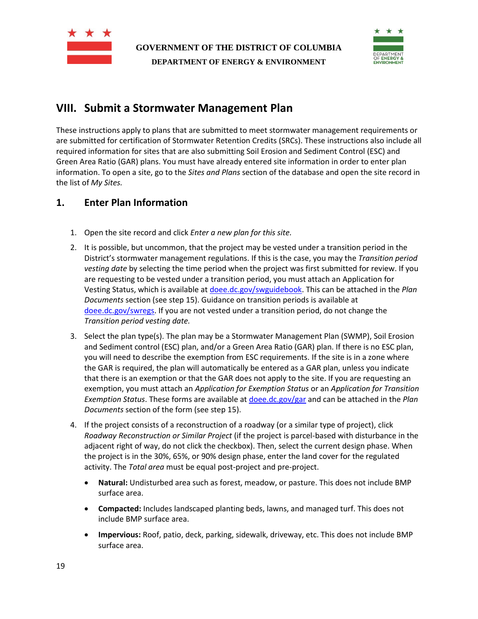



## <span id="page-18-0"></span>**VIII. Submit a Stormwater Management Plan**

These instructions apply to plans that are submitted to meet stormwater management requirements or are submitted for certification of Stormwater Retention Credits (SRCs). These instructions also include all required information for sites that are also submitting Soil Erosion and Sediment Control (ESC) and Green Area Ratio (GAR) plans. You must have already entered site information in order to enter plan information. To open a site, go to the *Sites and Plans* section of the database and open the site record in the list of *My Sites.*

## <span id="page-18-1"></span>**1. Enter Plan Information**

- 1. Open the site record and click *Enter a new plan for this site.*
- 2. It is possible, but uncommon, that the project may be vested under a transition period in the District's stormwater management regulations. If this is the case, you may the *Transition period vesting date* by selecting the time period when the project was first submitted for review. If you are requesting to be vested under a transition period, you must attach an Application for Vesting Status, which is available a[t doee.dc.gov/swguidebook.](http://ddoe.dc.gov/swguidebook) This can be attached in the *Plan Documents* section (see step 15). Guidance on transition periods is available at [doee.dc.gov/swregs.](http://ddoe.dc.gov/swregs) If you are not vested under a transition period, do not change the *Transition period vesting date.*
- 3. Select the plan type(s). The plan may be a Stormwater Management Plan (SWMP), Soil Erosion and Sediment control (ESC) plan, and/or a Green Area Ratio (GAR) plan. If there is no ESC plan, you will need to describe the exemption from ESC requirements. If the site is in a zone where the GAR is required, the plan will automatically be entered as a GAR plan, unless you indicate that there is an exemption or that the GAR does not apply to the site. If you are requesting an exemption, you must attach an *Application for Exemption Status* or an *Application for Transition Exemption Status*. These forms are available at [doee.dc.gov/gar](http://ddoe.dc.gov/gar) and can be attached in the *Plan Documents* section of the form (see step 15).
- 4. If the project consists of a reconstruction of a roadway (or a similar type of project), click *Roadway Reconstruction or Similar Project* (if the project is parcel-based with disturbance in the adjacent right of way, do not click the checkbox). Then, select the current design phase. When the project is in the 30%, 65%, or 90% design phase, enter the land cover for the regulated activity. The *Total area* must be equal post-project and pre-project.
	- **Natural:** Undisturbed area such as forest, meadow, or pasture. This does not include BMP surface area.
	- **Compacted:** Includes landscaped planting beds, lawns, and managed turf. This does not include BMP surface area.
	- **Impervious:** Roof, patio, deck, parking, sidewalk, driveway, etc. This does not include BMP surface area.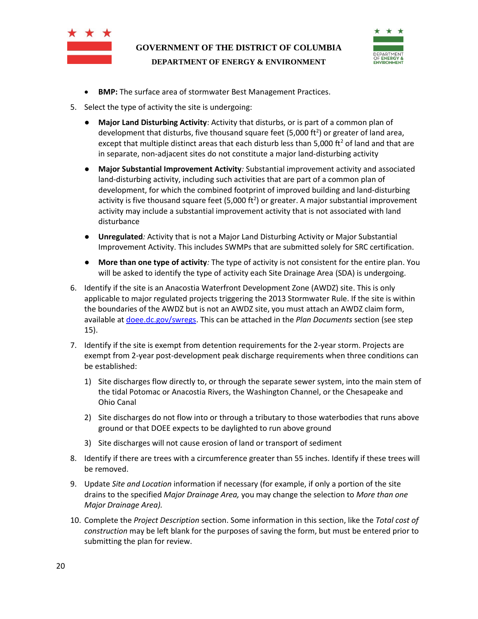



- **BMP:** The surface area of stormwater Best Management Practices.
- 5. Select the type of activity the site is undergoing:
	- **Major Land Disturbing Activity**: Activity that disturbs, or is part of a common plan of development that disturbs, five thousand square feet (5,000 ft<sup>2</sup>) or greater of land area, except that multiple distinct areas that each disturb less than 5,000 ft<sup>2</sup> of land and that are in separate, non-adjacent sites do not constitute a major land-disturbing activity
	- **Major Substantial Improvement Activity***:* Substantial improvement activity and associated land-disturbing activity, including such activities that are part of a common plan of development, for which the combined footprint of improved building and land-disturbing activity is five thousand square feet (5,000 ft<sup>2</sup>) or greater. A major substantial improvement activity may include a substantial improvement activity that is not associated with land disturbance
	- **Unregulated***:* Activity that is not a Major Land Disturbing Activity or Major Substantial Improvement Activity. This includes SWMPs that are submitted solely for SRC certification.
	- **More than one type of activity***:* The type of activity is not consistent for the entire plan. You will be asked to identify the type of activity each Site Drainage Area (SDA) is undergoing.
- 6. Identify if the site is an Anacostia Waterfront Development Zone (AWDZ) site. This is only applicable to major regulated projects triggering the 2013 Stormwater Rule. If the site is within the boundaries of the AWDZ but is not an AWDZ site, you must attach an AWDZ claim form, available a[t doee.dc.gov/swregs.](http://ddoe.dc.gov/swregs) This can be attached in the *Plan Documents* section (see step 15).
- 7. Identify if the site is exempt from detention requirements for the 2-year storm. Projects are exempt from 2-year post-development peak discharge requirements when three conditions can be established:
	- 1) Site discharges flow directly to, or through the separate sewer system, into the main stem of the tidal Potomac or Anacostia Rivers, the Washington Channel, or the Chesapeake and Ohio Canal
	- 2) Site discharges do not flow into or through a tributary to those waterbodies that runs above ground or that DOEE expects to be daylighted to run above ground
	- 3) Site discharges will not cause erosion of land or transport of sediment
- 8. Identify if there are trees with a circumference greater than 55 inches. Identify if these trees will be removed.
- 9. Update *Site and Location* information if necessary (for example, if only a portion of the site drains to the specified *Major Drainage Area,* you may change the selection to *More than one Major Drainage Area).*
- 10. Complete the *Project Description* section. Some information in this section, like the *Total cost of construction* may be left blank for the purposes of saving the form, but must be entered prior to submitting the plan for review.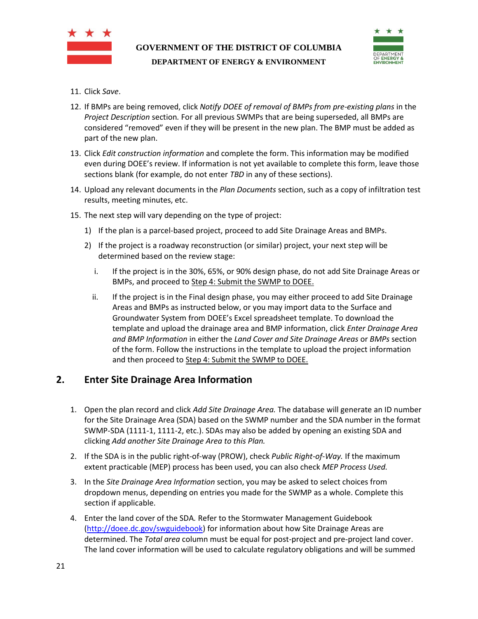



- 11. Click *Save*.
- 12. If BMPs are being removed, click *Notify DOEE of removal of BMPs from pre-existing plans* in the *Project Description* section*.* For all previous SWMPs that are being superseded, all BMPs are considered "removed" even if they will be present in the new plan. The BMP must be added as part of the new plan.
- 13. Click *Edit construction information* and complete the form. This information may be modified even during DOEE's review. If information is not yet available to complete this form, leave those sections blank (for example, do not enter *TBD* in any of these sections).
- 14. Upload any relevant documents in the *Plan Documents* section, such as a copy of infiltration test results, meeting minutes, etc.
- 15. The next step will vary depending on the type of project:
	- 1) If the plan is a parcel-based project, proceed to add Site Drainage Areas and BMPs.
	- 2) If the project is a roadway reconstruction (or similar) project, your next step will be determined based on the review stage:
		- i. If the project is in the 30%, 65%, or 90% design phase, do not add Site Drainage Areas or BMPs, and proceed to Ste[p 4: Submit the SWMP to DOEE.](#page-24-0)
		- ii. If the project is in the Final design phase, you may either proceed to add Site Drainage Areas and BMPs as instructed below, or you may import data to the Surface and Groundwater System from DOEE's Excel spreadsheet template. To download the template and upload the drainage area and BMP information, click *Enter Drainage Area and BMP Information* in either the *Land Cover and Site Drainage Areas* or *BMPs* section of the form. Follow the instructions in the template to upload the project information and then proceed to Step [4: Submit the SWMP to DOEE.](#page-24-0)

## <span id="page-20-0"></span>**2. Enter Site Drainage Area Information**

- 1. Open the plan record and click *Add Site Drainage Area.* The database will generate an ID number for the Site Drainage Area (SDA) based on the SWMP number and the SDA number in the format SWMP-SDA (1111-1, 1111-2, etc.). SDAs may also be added by opening an existing SDA and clicking *Add another Site Drainage Area to this Plan.*
- 2. If the SDA is in the public right-of-way (PROW), check *Public Right-of-Way.* If the maximum extent practicable (MEP) process has been used, you can also check *MEP Process Used.*
- 3. In the *Site Drainage Area Information* section, you may be asked to select choices from dropdown menus, depending on entries you made for the SWMP as a whole. Complete this section if applicable.
- 4. Enter the land cover of the SDA*.* Refer to the Stormwater Management Guidebook [\(http://doee.dc.gov/swguidebook\)](http://doee.dc.gov/swguidebook) for information about how Site Drainage Areas are determined. The *Total area* column must be equal for post-project and pre-project land cover. The land cover information will be used to calculate regulatory obligations and will be summed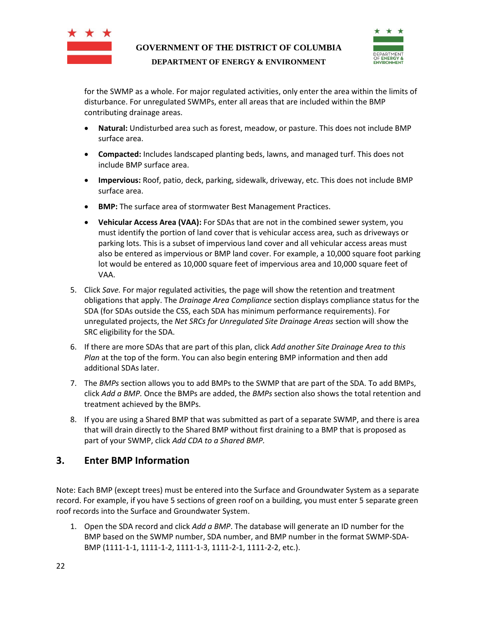



for the SWMP as a whole. For major regulated activities, only enter the area within the limits of disturbance. For unregulated SWMPs, enter all areas that are included within the BMP contributing drainage areas.

- **Natural:** Undisturbed area such as forest, meadow, or pasture. This does not include BMP surface area.
- **Compacted:** Includes landscaped planting beds, lawns, and managed turf. This does not include BMP surface area.
- **Impervious:** Roof, patio, deck, parking, sidewalk, driveway, etc. This does not include BMP surface area.
- **BMP:** The surface area of stormwater Best Management Practices.
- **Vehicular Access Area (VAA):** For SDAs that are not in the combined sewer system, you must identify the portion of land cover that is vehicular access area, such as driveways or parking lots. This is a subset of impervious land cover and all vehicular access areas must also be entered as impervious or BMP land cover. For example, a 10,000 square foot parking lot would be entered as 10,000 square feet of impervious area and 10,000 square feet of VAA.
- 5. Click *Save.* For major regulated activities*,* the page will show the retention and treatment obligations that apply. The *Drainage Area Compliance* section displays compliance status for the SDA (for SDAs outside the CSS, each SDA has minimum performance requirements). For unregulated projects, the *Net SRCs for Unregulated Site Drainage Areas* section will show the SRC eligibility for the SDA.
- 6. If there are more SDAs that are part of this plan, click *Add another Site Drainage Area to this Plan* at the top of the form. You can also begin entering BMP information and then add additional SDAs later.
- 7. The *BMPs* section allows you to add BMPs to the SWMP that are part of the SDA. To add BMPs, click *Add a BMP.* Once the BMPs are added, the *BMPs* section also shows the total retention and treatment achieved by the BMPs.
- 8. If you are using a Shared BMP that was submitted as part of a separate SWMP, and there is area that will drain directly to the Shared BMP without first draining to a BMP that is proposed as part of your SWMP, click *Add CDA to a Shared BMP.*

## <span id="page-21-0"></span>**3. Enter BMP Information**

Note: Each BMP (except trees) must be entered into the Surface and Groundwater System as a separate record. For example, if you have 5 sections of green roof on a building, you must enter 5 separate green roof records into the Surface and Groundwater System.

1. Open the SDA record and click *Add a BMP*. The database will generate an ID number for the BMP based on the SWMP number, SDA number, and BMP number in the format SWMP-SDA-BMP (1111-1-1, 1111-1-2, 1111-1-3, 1111-2-1, 1111-2-2, etc.).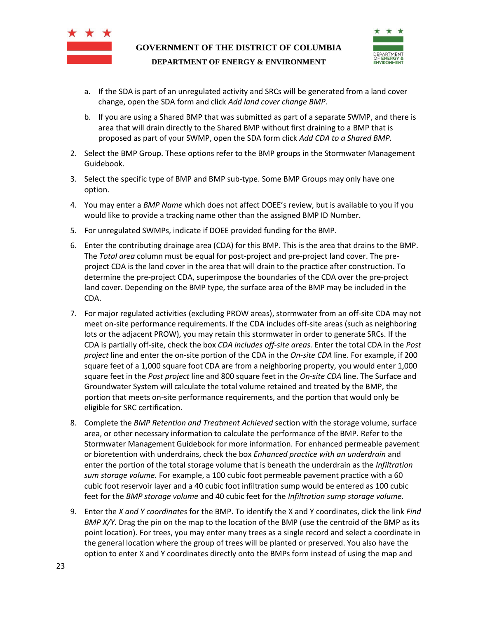



- a. If the SDA is part of an unregulated activity and SRCs will be generated from a land cover change, open the SDA form and click *Add land cover change BMP.*
- b. If you are using a Shared BMP that was submitted as part of a separate SWMP, and there is area that will drain directly to the Shared BMP without first draining to a BMP that is proposed as part of your SWMP, open the SDA form click *Add CDA to a Shared BMP.*
- 2. Select the BMP Group. These options refer to the BMP groups in the Stormwater Management Guidebook.
- 3. Select the specific type of BMP and BMP sub-type. Some BMP Groups may only have one option.
- 4. You may enter a *BMP Name* which does not affect DOEE's review, but is available to you if you would like to provide a tracking name other than the assigned BMP ID Number.
- 5. For unregulated SWMPs, indicate if DOEE provided funding for the BMP.
- 6. Enter the contributing drainage area (CDA) for this BMP. This is the area that drains to the BMP. The *Total area* column must be equal for post-project and pre-project land cover. The preproject CDA is the land cover in the area that will drain to the practice after construction. To determine the pre-project CDA, superimpose the boundaries of the CDA over the pre-project land cover. Depending on the BMP type, the surface area of the BMP may be included in the CDA.
- 7. For major regulated activities (excluding PROW areas), stormwater from an off-site CDA may not meet on-site performance requirements. If the CDA includes off-site areas (such as neighboring lots or the adjacent PROW), you may retain this stormwater in order to generate SRCs. If the CDA is partially off-site, check the box *CDA includes off-site areas.* Enter the total CDA in the *Post project* line and enter the on-site portion of the CDA in the *On-site CDA* line. For example, if 200 square feet of a 1,000 square foot CDA are from a neighboring property, you would enter 1,000 square feet in the *Post project* line and 800 square feet in the *On-site CDA* line. The Surface and Groundwater System will calculate the total volume retained and treated by the BMP, the portion that meets on-site performance requirements, and the portion that would only be eligible for SRC certification.
- 8. Complete the *BMP Retention and Treatment Achieved* section with the storage volume, surface area, or other necessary information to calculate the performance of the BMP. Refer to the Stormwater Management Guidebook for more information. For enhanced permeable pavement or bioretention with underdrains, check the box *Enhanced practice with an underdrain* and enter the portion of the total storage volume that is beneath the underdrain as the *Infiltration sum storage volume.* For example, a 100 cubic foot permeable pavement practice with a 60 cubic foot reservoir layer and a 40 cubic foot infiltration sump would be entered as 100 cubic feet for the *BMP storage volume* and 40 cubic feet for the *Infiltration sump storage volume.*
- 9. Enter the *X and Y coordinates* for the BMP. To identify the X and Y coordinates, click the link *Find BMP X/Y.* Drag the pin on the map to the location of the BMP (use the centroid of the BMP as its point location). For trees, you may enter many trees as a single record and select a coordinate in the general location where the group of trees will be planted or preserved. You also have the option to enter X and Y coordinates directly onto the BMPs form instead of using the map and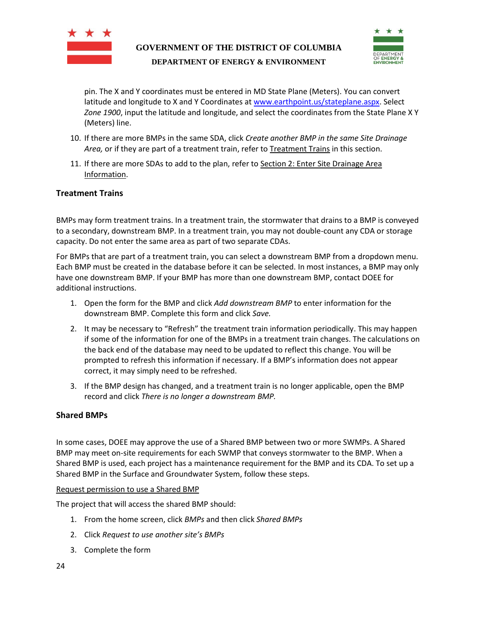



pin. The X and Y coordinates must be entered in MD State Plane (Meters). You can convert latitude and longitude to X and Y Coordinates at [www.earthpoint.us/stateplane.aspx.](http://www.earthpoint.us/stateplane.aspx) Select *Zone 1900*, input the latitude and longitude, and select the coordinates from the State Plane X Y (Meters) line.

- 10. If there are more BMPs in the same SDA, click *Create another BMP in the same Site Drainage Area,* or if they are part of a treatment train, refer t[o Treatment Trains](#page-23-0) in this section.
- 11. If there are more SDAs to add to the plan, refer to Section [2: Enter Site Drainage Area](#page-20-0)  [Information.](#page-20-0)

#### <span id="page-23-0"></span>**Treatment Trains**

BMPs may form treatment trains. In a treatment train, the stormwater that drains to a BMP is conveyed to a secondary, downstream BMP. In a treatment train, you may not double-count any CDA or storage capacity. Do not enter the same area as part of two separate CDAs.

For BMPs that are part of a treatment train, you can select a downstream BMP from a dropdown menu. Each BMP must be created in the database before it can be selected. In most instances, a BMP may only have one downstream BMP. If your BMP has more than one downstream BMP, contact DOEE for additional instructions.

- 1. Open the form for the BMP and click *Add downstream BMP* to enter information for the downstream BMP. Complete this form and click *Save.*
- 2. It may be necessary to "Refresh" the treatment train information periodically. This may happen if some of the information for one of the BMPs in a treatment train changes. The calculations on the back end of the database may need to be updated to reflect this change. You will be prompted to refresh this information if necessary. If a BMP's information does not appear correct, it may simply need to be refreshed.
- 3. If the BMP design has changed, and a treatment train is no longer applicable, open the BMP record and click *There is no longer a downstream BMP.*

#### <span id="page-23-1"></span>**Shared BMPs**

In some cases, DOEE may approve the use of a Shared BMP between two or more SWMPs. A Shared BMP may meet on-site requirements for each SWMP that conveys stormwater to the BMP. When a Shared BMP is used, each project has a maintenance requirement for the BMP and its CDA. To set up a Shared BMP in the Surface and Groundwater System, follow these steps.

#### Request permission to use a Shared BMP

The project that will access the shared BMP should:

- 1. From the home screen, click *BMPs* and then click *Shared BMPs*
- 2. Click *Request to use another site's BMPs*
- 3. Complete the form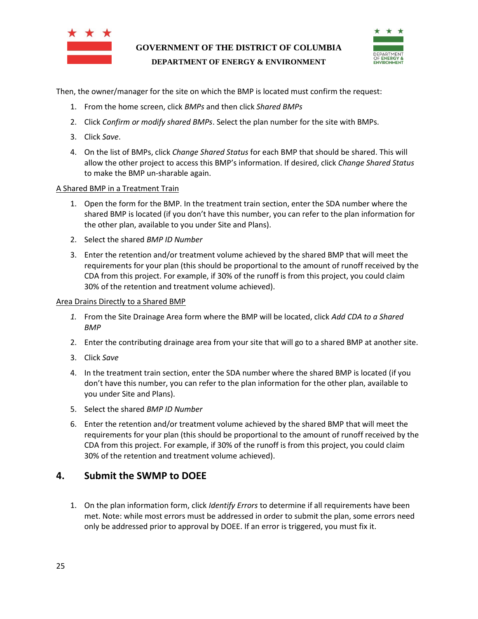



Then, the owner/manager for the site on which the BMP is located must confirm the request:

- 1. From the home screen, click *BMPs* and then click *Shared BMPs*
- 2. Click *Confirm or modify shared BMPs*. Select the plan number for the site with BMPs.
- 3. Click *Save*.
- 4. On the list of BMPs, click *Change Shared Status* for each BMP that should be shared. This will allow the other project to access this BMP's information. If desired, click *Change Shared Status* to make the BMP un-sharable again.

#### A Shared BMP in a Treatment Train

- 1. Open the form for the BMP. In the treatment train section, enter the SDA number where the shared BMP is located (if you don't have this number, you can refer to the plan information for the other plan, available to you under Site and Plans).
- 2. Select the shared *BMP ID Number*
- 3. Enter the retention and/or treatment volume achieved by the shared BMP that will meet the requirements for your plan (this should be proportional to the amount of runoff received by the CDA from this project. For example, if 30% of the runoff is from this project, you could claim 30% of the retention and treatment volume achieved).

#### Area Drains Directly to a Shared BMP

- *1.* From the Site Drainage Area form where the BMP will be located, click *Add CDA to a Shared BMP*
- 2. Enter the contributing drainage area from your site that will go to a shared BMP at another site.
- 3. Click *Save*
- 4. In the treatment train section, enter the SDA number where the shared BMP is located (if you don't have this number, you can refer to the plan information for the other plan, available to you under Site and Plans).
- 5. Select the shared *BMP ID Number*
- 6. Enter the retention and/or treatment volume achieved by the shared BMP that will meet the requirements for your plan (this should be proportional to the amount of runoff received by the CDA from this project. For example, if 30% of the runoff is from this project, you could claim 30% of the retention and treatment volume achieved).

#### <span id="page-24-0"></span>**4. Submit the SWMP to DOEE**

1. On the plan information form, click *Identify Errors* to determine if all requirements have been met. Note: while most errors must be addressed in order to submit the plan, some errors need only be addressed prior to approval by DOEE. If an error is triggered, you must fix it.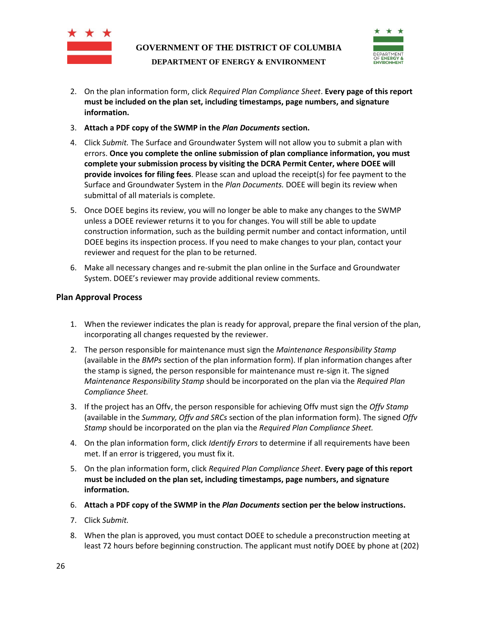



- 2. On the plan information form, click *Required Plan Compliance Sheet*. **Every page of this report must be included on the plan set, including timestamps, page numbers, and signature information.**
- 3. **Attach a PDF copy of the SWMP in the** *Plan Documents* **section.**
- 4. Click *Submit.* The Surface and Groundwater System will not allow you to submit a plan with errors. **Once you complete the online submission of plan compliance information, you must complete your submission process by visiting the DCRA Permit Center, where DOEE will provide invoices for filing fees**. Please scan and upload the receipt(s) for fee payment to the Surface and Groundwater System in the *Plan Documents.* DOEE will begin its review when submittal of all materials is complete.
- 5. Once DOEE begins its review, you will no longer be able to make any changes to the SWMP unless a DOEE reviewer returns it to you for changes. You will still be able to update construction information, such as the building permit number and contact information, until DOEE begins its inspection process. If you need to make changes to your plan, contact your reviewer and request for the plan to be returned.
- 6. Make all necessary changes and re-submit the plan online in the Surface and Groundwater System. DOEE's reviewer may provide additional review comments.

#### <span id="page-25-0"></span>**Plan Approval Process**

- 1. When the reviewer indicates the plan is ready for approval, prepare the final version of the plan, incorporating all changes requested by the reviewer.
- 2. The person responsible for maintenance must sign the *Maintenance Responsibility Stamp* (available in the *BMPs* section of the plan information form). If plan information changes after the stamp is signed, the person responsible for maintenance must re-sign it. The signed *Maintenance Responsibility Stamp* should be incorporated on the plan via the *Required Plan Compliance Sheet.*
- 3. If the project has an Offv, the person responsible for achieving Offv must sign the *Offv Stamp*  (available in the *Summary, Offv and SRCs* section of the plan information form). The signed *Offv Stamp* should be incorporated on the plan via the *Required Plan Compliance Sheet.*
- 4. On the plan information form, click *Identify Errors* to determine if all requirements have been met. If an error is triggered, you must fix it.
- 5. On the plan information form, click *Required Plan Compliance Sheet*. **Every page of this report must be included on the plan set, including timestamps, page numbers, and signature information.**
- 6. **Attach a PDF copy of the SWMP in the** *Plan Documents* **section per the below instructions.**
- 7. Click *Submit.*
- 8. When the plan is approved, you must contact DOEE to schedule a preconstruction meeting at least 72 hours before beginning construction. The applicant must notify DOEE by phone at (202)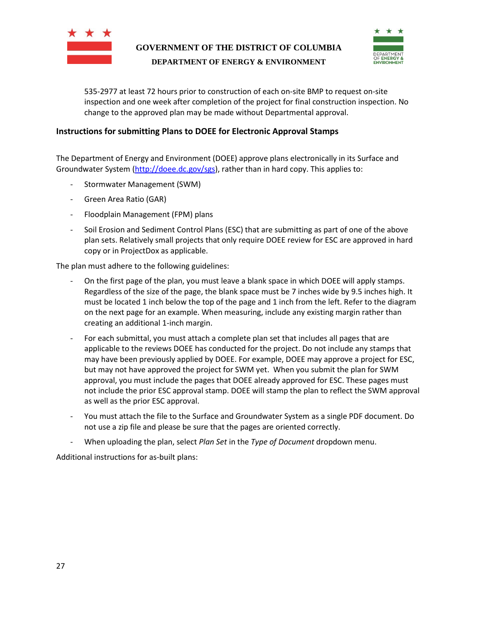



535-2977 at least 72 hours prior to construction of each on-site BMP to request on-site inspection and one week after completion of the project for final construction inspection. No change to the approved plan may be made without Departmental approval.

#### <span id="page-26-0"></span>**Instructions for submitting Plans to DOEE for Electronic Approval Stamps**

The Department of Energy and Environment (DOEE) approve plans electronically in its Surface and Groundwater System [\(http://doee.dc.gov/sgs\)](http://doee.dc.gov/sgs), rather than in hard copy. This applies to:

- Stormwater Management (SWM)
- Green Area Ratio (GAR)
- Floodplain Management (FPM) plans
- Soil Erosion and Sediment Control Plans (ESC) that are submitting as part of one of the above plan sets. Relatively small projects that only require DOEE review for ESC are approved in hard copy or in ProjectDox as applicable.

The plan must adhere to the following guidelines:

- On the first page of the plan, you must leave a blank space in which DOEE will apply stamps. Regardless of the size of the page, the blank space must be 7 inches wide by 9.5 inches high. It must be located 1 inch below the top of the page and 1 inch from the left. Refer to the diagram on the next page for an example. When measuring, include any existing margin rather than creating an additional 1-inch margin.
- For each submittal, you must attach a complete plan set that includes all pages that are applicable to the reviews DOEE has conducted for the project. Do not include any stamps that may have been previously applied by DOEE. For example, DOEE may approve a project for ESC, but may not have approved the project for SWM yet. When you submit the plan for SWM approval, you must include the pages that DOEE already approved for ESC. These pages must not include the prior ESC approval stamp. DOEE will stamp the plan to reflect the SWM approval as well as the prior ESC approval.
- You must attach the file to the Surface and Groundwater System as a single PDF document. Do not use a zip file and please be sure that the pages are oriented correctly.
- When uploading the plan, select *Plan Set* in the *Type of Document* dropdown menu.

Additional instructions for as-built plans: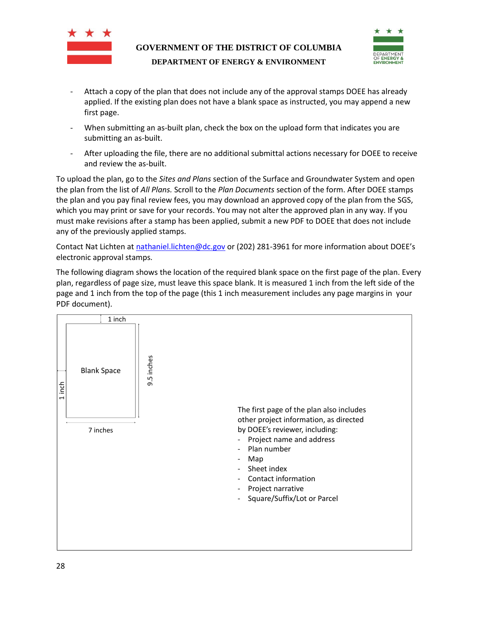



- Attach a copy of the plan that does not include any of the approval stamps DOEE has already applied. If the existing plan does not have a blank space as instructed, you may append a new first page.
- When submitting an as-built plan, check the box on the upload form that indicates you are submitting an as-built.
- After uploading the file, there are no additional submittal actions necessary for DOEE to receive and review the as-built.

To upload the plan, go to the *Sites and Plans* section of the Surface and Groundwater System and open the plan from the list of *All Plans.* Scroll to the *Plan Documents* section of the form. After DOEE stamps the plan and you pay final review fees, you may download an approved copy of the plan from the SGS, which you may print or save for your records. You may not alter the approved plan in any way. If you must make revisions after a stamp has been applied, submit a new PDF to DOEE that does not include any of the previously applied stamps.

Contact Nat Lichten at [nathaniel.lichten@dc.gov](mailto:matthew.espie@dc.gov) or (202) 281-3961 for more information about DOEE's electronic approval stamps.

The following diagram shows the location of the required blank space on the first page of the plan. Every plan, regardless of page size, must leave this space blank. It is measured 1 inch from the left side of the page and 1 inch from the top of the page (this 1 inch measurement includes any page margins in your PDF document).

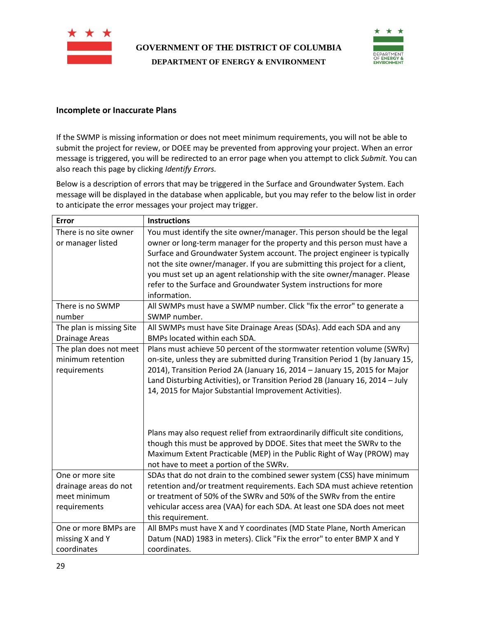



#### <span id="page-28-0"></span>**Incomplete or Inaccurate Plans**

If the SWMP is missing information or does not meet minimum requirements, you will not be able to submit the project for review, or DOEE may be prevented from approving your project. When an error message is triggered, you will be redirected to an error page when you attempt to click *Submit.* You can also reach this page by clicking *Identify Errors.*

Below is a description of errors that may be triggered in the Surface and Groundwater System. Each message will be displayed in the database when applicable, but you may refer to the below list in order to anticipate the error messages your project may trigger.

| <b>Error</b>             | <b>Instructions</b>                                                           |
|--------------------------|-------------------------------------------------------------------------------|
| There is no site owner   | You must identify the site owner/manager. This person should be the legal     |
| or manager listed        | owner or long-term manager for the property and this person must have a       |
|                          | Surface and Groundwater System account. The project engineer is typically     |
|                          | not the site owner/manager. If you are submitting this project for a client,  |
|                          | you must set up an agent relationship with the site owner/manager. Please     |
|                          | refer to the Surface and Groundwater System instructions for more             |
|                          | information.                                                                  |
| There is no SWMP         | All SWMPs must have a SWMP number. Click "fix the error" to generate a        |
| number                   | SWMP number.                                                                  |
| The plan is missing Site | All SWMPs must have Site Drainage Areas (SDAs). Add each SDA and any          |
| <b>Drainage Areas</b>    | BMPs located within each SDA.                                                 |
| The plan does not meet   | Plans must achieve 50 percent of the stormwater retention volume (SWRv)       |
| minimum retention        | on-site, unless they are submitted during Transition Period 1 (by January 15, |
| requirements             | 2014), Transition Period 2A (January 16, 2014 - January 15, 2015 for Major    |
|                          | Land Disturbing Activities), or Transition Period 2B (January 16, 2014 - July |
|                          | 14, 2015 for Major Substantial Improvement Activities).                       |
|                          |                                                                               |
|                          |                                                                               |
|                          |                                                                               |
|                          | Plans may also request relief from extraordinarily difficult site conditions, |
|                          | though this must be approved by DDOE. Sites that meet the SWRv to the         |
|                          | Maximum Extent Practicable (MEP) in the Public Right of Way (PROW) may        |
|                          | not have to meet a portion of the SWRv.                                       |
| One or more site         | SDAs that do not drain to the combined sewer system (CSS) have minimum        |
| drainage areas do not    | retention and/or treatment requirements. Each SDA must achieve retention      |
| meet minimum             | or treatment of 50% of the SWRv and 50% of the SWRv from the entire           |
| requirements             | vehicular access area (VAA) for each SDA. At least one SDA does not meet      |
|                          | this requirement.                                                             |
| One or more BMPs are     | All BMPs must have X and Y coordinates (MD State Plane, North American        |
| missing X and Y          | Datum (NAD) 1983 in meters). Click "Fix the error" to enter BMP X and Y       |
| coordinates              | coordinates.                                                                  |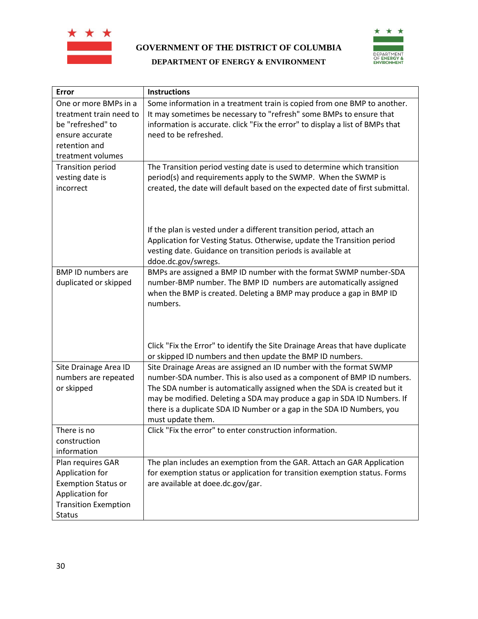



| Error                                                                                                     | <b>Instructions</b>                                                                                                                                                                                                                                                                                                                                                                               |
|-----------------------------------------------------------------------------------------------------------|---------------------------------------------------------------------------------------------------------------------------------------------------------------------------------------------------------------------------------------------------------------------------------------------------------------------------------------------------------------------------------------------------|
| One or more BMPs in a<br>treatment train need to<br>be "refreshed" to<br>ensure accurate<br>retention and | Some information in a treatment train is copied from one BMP to another.<br>It may sometimes be necessary to "refresh" some BMPs to ensure that<br>information is accurate. click "Fix the error" to display a list of BMPs that<br>need to be refreshed.                                                                                                                                         |
| treatment volumes                                                                                         |                                                                                                                                                                                                                                                                                                                                                                                                   |
| <b>Transition period</b><br>vesting date is<br>incorrect                                                  | The Transition period vesting date is used to determine which transition<br>period(s) and requirements apply to the SWMP. When the SWMP is<br>created, the date will default based on the expected date of first submittal.                                                                                                                                                                       |
|                                                                                                           | If the plan is vested under a different transition period, attach an<br>Application for Vesting Status. Otherwise, update the Transition period<br>vesting date. Guidance on transition periods is available at<br>ddoe.dc.gov/swregs.                                                                                                                                                            |
| <b>BMP ID numbers are</b><br>duplicated or skipped                                                        | BMPs are assigned a BMP ID number with the format SWMP number-SDA<br>number-BMP number. The BMP ID numbers are automatically assigned<br>when the BMP is created. Deleting a BMP may produce a gap in BMP ID<br>numbers.<br>Click "Fix the Error" to identify the Site Drainage Areas that have duplicate                                                                                         |
|                                                                                                           | or skipped ID numbers and then update the BMP ID numbers.                                                                                                                                                                                                                                                                                                                                         |
| Site Drainage Area ID<br>numbers are repeated<br>or skipped                                               | Site Drainage Areas are assigned an ID number with the format SWMP<br>number-SDA number. This is also used as a component of BMP ID numbers.<br>The SDA number is automatically assigned when the SDA is created but it<br>may be modified. Deleting a SDA may produce a gap in SDA ID Numbers. If<br>there is a duplicate SDA ID Number or a gap in the SDA ID Numbers, you<br>must update them. |
| There is no                                                                                               | Click "Fix the error" to enter construction information.                                                                                                                                                                                                                                                                                                                                          |
| construction                                                                                              |                                                                                                                                                                                                                                                                                                                                                                                                   |
| information                                                                                               |                                                                                                                                                                                                                                                                                                                                                                                                   |
| Plan requires GAR                                                                                         | The plan includes an exemption from the GAR. Attach an GAR Application                                                                                                                                                                                                                                                                                                                            |
| Application for<br><b>Exemption Status or</b><br>Application for                                          | for exemption status or application for transition exemption status. Forms<br>are available at doee.dc.gov/gar.                                                                                                                                                                                                                                                                                   |
| <b>Transition Exemption</b><br><b>Status</b>                                                              |                                                                                                                                                                                                                                                                                                                                                                                                   |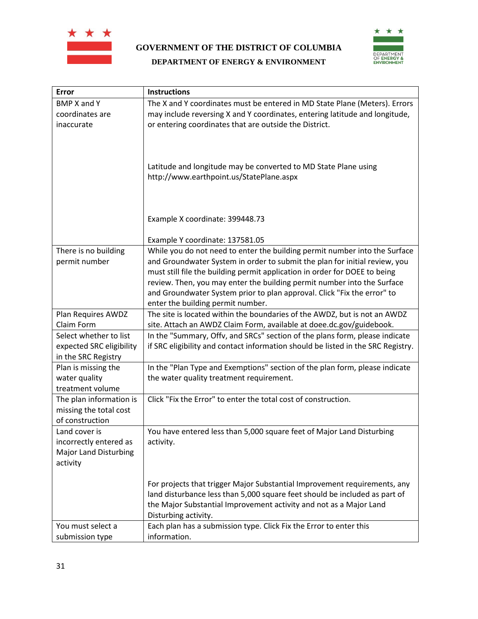



| <b>Error</b>                     | <b>Instructions</b>                                                                                                                                     |
|----------------------------------|---------------------------------------------------------------------------------------------------------------------------------------------------------|
| <b>BMP X and Y</b>               | The X and Y coordinates must be entered in MD State Plane (Meters). Errors                                                                              |
| coordinates are                  | may include reversing X and Y coordinates, entering latitude and longitude,                                                                             |
| inaccurate                       | or entering coordinates that are outside the District.                                                                                                  |
|                                  | Latitude and longitude may be converted to MD State Plane using<br>http://www.earthpoint.us/StatePlane.aspx                                             |
|                                  | Example X coordinate: 399448.73                                                                                                                         |
|                                  | Example Y coordinate: 137581.05                                                                                                                         |
| There is no building             | While you do not need to enter the building permit number into the Surface                                                                              |
| permit number                    | and Groundwater System in order to submit the plan for initial review, you                                                                              |
|                                  | must still file the building permit application in order for DOEE to being                                                                              |
|                                  | review. Then, you may enter the building permit number into the Surface                                                                                 |
|                                  | and Groundwater System prior to plan approval. Click "Fix the error" to                                                                                 |
|                                  | enter the building permit number.                                                                                                                       |
| Plan Requires AWDZ<br>Claim Form | The site is located within the boundaries of the AWDZ, but is not an AWDZ<br>site. Attach an AWDZ Claim Form, available at doee.dc.gov/guidebook.       |
| Select whether to list           | In the "Summary, Offv, and SRCs" section of the plans form, please indicate                                                                             |
| expected SRC eligibility         | if SRC eligibility and contact information should be listed in the SRC Registry.                                                                        |
| in the SRC Registry              |                                                                                                                                                         |
| Plan is missing the              | In the "Plan Type and Exemptions" section of the plan form, please indicate                                                                             |
| water quality                    | the water quality treatment requirement.                                                                                                                |
| treatment volume                 |                                                                                                                                                         |
| The plan information is          | Click "Fix the Error" to enter the total cost of construction.                                                                                          |
| missing the total cost           |                                                                                                                                                         |
| of construction                  |                                                                                                                                                         |
| Land cover is                    | You have entered less than 5,000 square feet of Major Land Disturbing                                                                                   |
| incorrectly entered as           | activity.                                                                                                                                               |
| <b>Major Land Disturbing</b>     |                                                                                                                                                         |
| activity                         |                                                                                                                                                         |
|                                  |                                                                                                                                                         |
|                                  | For projects that trigger Major Substantial Improvement requirements, any<br>land disturbance less than 5,000 square feet should be included as part of |
|                                  | the Major Substantial Improvement activity and not as a Major Land                                                                                      |
|                                  | Disturbing activity.                                                                                                                                    |
| You must select a                | Each plan has a submission type. Click Fix the Error to enter this                                                                                      |
| submission type                  | information.                                                                                                                                            |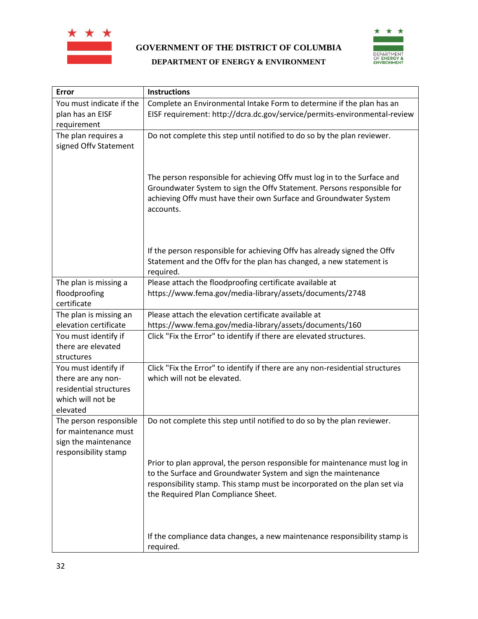



#### **Error Instructions** You must indicate if the plan has an EISF requirement Complete an Environmental Intake Form to determine if the plan has an EISF requirement: http://dcra.dc.gov/service/permits-environmental-review The plan requires a signed Offv Statement Do not complete this step until notified to do so by the plan reviewer. The person responsible for achieving Offv must log in to the Surface and Groundwater System to sign the Offv Statement. Persons responsible for achieving Offv must have their own Surface and Groundwater System accounts. If the person responsible for achieving Offv has already signed the Offv Statement and the Offv for the plan has changed, a new statement is required. The plan is missing a floodproofing certificate Please attach the floodproofing certificate available at https://www.fema.gov/media-library/assets/documents/2748 The plan is missing an elevation certificate Please attach the elevation certificate available at https://www.fema.gov/media-library/assets/documents/160 You must identify if there are elevated structures Click "Fix the Error" to identify if there are elevated structures. You must identify if there are any nonresidential structures which will not be elevated Click "Fix the Error" to identify if there are any non-residential structures which will not be elevated. The person responsible for maintenance must sign the maintenance responsibility stamp Do not complete this step until notified to do so by the plan reviewer. Prior to plan approval, the person responsible for maintenance must log in to the Surface and Groundwater System and sign the maintenance responsibility stamp. This stamp must be incorporated on the plan set via the Required Plan Compliance Sheet. If the compliance data changes, a new maintenance responsibility stamp is required.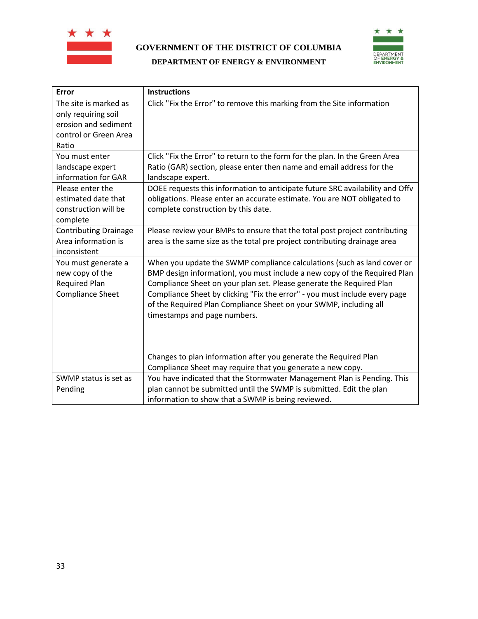



| Error                                                                                                                                    | <b>Instructions</b>                                                                                                                                                                                                                                                                                                                                                                                             |
|------------------------------------------------------------------------------------------------------------------------------------------|-----------------------------------------------------------------------------------------------------------------------------------------------------------------------------------------------------------------------------------------------------------------------------------------------------------------------------------------------------------------------------------------------------------------|
| The site is marked as<br>only requiring soil<br>erosion and sediment<br>control or Green Area<br>Ratio                                   | Click "Fix the Error" to remove this marking from the Site information                                                                                                                                                                                                                                                                                                                                          |
| You must enter<br>landscape expert<br>information for GAR<br>Please enter the<br>estimated date that<br>construction will be<br>complete | Click "Fix the Error" to return to the form for the plan. In the Green Area<br>Ratio (GAR) section, please enter then name and email address for the<br>landscape expert.<br>DOEE requests this information to anticipate future SRC availability and Offv<br>obligations. Please enter an accurate estimate. You are NOT obligated to<br>complete construction by this date.                                   |
| <b>Contributing Drainage</b><br>Area information is<br>inconsistent                                                                      | Please review your BMPs to ensure that the total post project contributing<br>area is the same size as the total pre project contributing drainage area                                                                                                                                                                                                                                                         |
| You must generate a<br>new copy of the<br><b>Required Plan</b><br><b>Compliance Sheet</b>                                                | When you update the SWMP compliance calculations (such as land cover or<br>BMP design information), you must include a new copy of the Required Plan<br>Compliance Sheet on your plan set. Please generate the Required Plan<br>Compliance Sheet by clicking "Fix the error" - you must include every page<br>of the Required Plan Compliance Sheet on your SWMP, including all<br>timestamps and page numbers. |
|                                                                                                                                          | Changes to plan information after you generate the Required Plan<br>Compliance Sheet may require that you generate a new copy.                                                                                                                                                                                                                                                                                  |
| SWMP status is set as<br>Pending                                                                                                         | You have indicated that the Stormwater Management Plan is Pending. This<br>plan cannot be submitted until the SWMP is submitted. Edit the plan<br>information to show that a SWMP is being reviewed.                                                                                                                                                                                                            |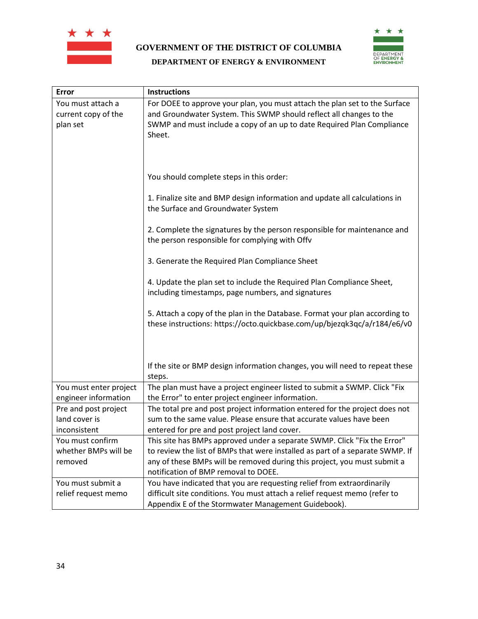



| Error                                                 | <b>Instructions</b>                                                                                                                                                                                                                                                           |
|-------------------------------------------------------|-------------------------------------------------------------------------------------------------------------------------------------------------------------------------------------------------------------------------------------------------------------------------------|
| You must attach a<br>current copy of the<br>plan set  | For DOEE to approve your plan, you must attach the plan set to the Surface<br>and Groundwater System. This SWMP should reflect all changes to the<br>SWMP and must include a copy of an up to date Required Plan Compliance<br>Sheet.                                         |
|                                                       | You should complete steps in this order:                                                                                                                                                                                                                                      |
|                                                       | 1. Finalize site and BMP design information and update all calculations in<br>the Surface and Groundwater System                                                                                                                                                              |
|                                                       | 2. Complete the signatures by the person responsible for maintenance and<br>the person responsible for complying with Offv                                                                                                                                                    |
|                                                       | 3. Generate the Required Plan Compliance Sheet                                                                                                                                                                                                                                |
|                                                       | 4. Update the plan set to include the Required Plan Compliance Sheet,<br>including timestamps, page numbers, and signatures                                                                                                                                                   |
|                                                       | 5. Attach a copy of the plan in the Database. Format your plan according to<br>these instructions: https://octo.quickbase.com/up/bjezqk3qc/a/r184/e6/v0                                                                                                                       |
|                                                       | If the site or BMP design information changes, you will need to repeat these<br>steps.                                                                                                                                                                                        |
| You must enter project<br>engineer information        | The plan must have a project engineer listed to submit a SWMP. Click "Fix<br>the Error" to enter project engineer information.                                                                                                                                                |
| Pre and post project<br>land cover is<br>inconsistent | The total pre and post project information entered for the project does not<br>sum to the same value. Please ensure that accurate values have been<br>entered for pre and post project land cover.                                                                            |
| You must confirm<br>whether BMPs will be<br>removed   | This site has BMPs approved under a separate SWMP. Click "Fix the Error"<br>to review the list of BMPs that were installed as part of a separate SWMP. If<br>any of these BMPs will be removed during this project, you must submit a<br>notification of BMP removal to DOEE. |
| You must submit a<br>relief request memo              | You have indicated that you are requesting relief from extraordinarily<br>difficult site conditions. You must attach a relief request memo (refer to<br>Appendix E of the Stormwater Management Guidebook).                                                                   |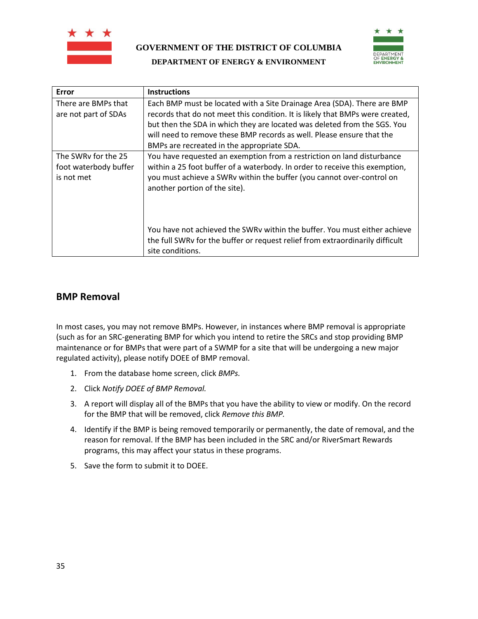



| Error                                                      | <b>Instructions</b>                                                                                                                                                                                                                                                                                                                                         |
|------------------------------------------------------------|-------------------------------------------------------------------------------------------------------------------------------------------------------------------------------------------------------------------------------------------------------------------------------------------------------------------------------------------------------------|
| There are BMPs that<br>are not part of SDAs                | Each BMP must be located with a Site Drainage Area (SDA). There are BMP<br>records that do not meet this condition. It is likely that BMPs were created,<br>but then the SDA in which they are located was deleted from the SGS. You<br>will need to remove these BMP records as well. Please ensure that the<br>BMPs are recreated in the appropriate SDA. |
| The SWRy for the 25<br>foot waterbody buffer<br>is not met | You have requested an exemption from a restriction on land disturbance<br>within a 25 foot buffer of a waterbody. In order to receive this exemption,<br>you must achieve a SWRv within the buffer (you cannot over-control on<br>another portion of the site).                                                                                             |
|                                                            | You have not achieved the SWRv within the buffer. You must either achieve<br>the full SWRy for the buffer or request relief from extraordinarily difficult<br>site conditions.                                                                                                                                                                              |

## <span id="page-34-0"></span>**BMP Removal**

In most cases, you may not remove BMPs. However, in instances where BMP removal is appropriate (such as for an SRC-generating BMP for which you intend to retire the SRCs and stop providing BMP maintenance or for BMPs that were part of a SWMP for a site that will be undergoing a new major regulated activity), please notify DOEE of BMP removal.

- 1. From the database home screen, click *BMPs.*
- 2. Click *Notify DOEE of BMP Removal.*
- 3. A report will display all of the BMPs that you have the ability to view or modify. On the record for the BMP that will be removed, click *Remove this BMP.*
- 4. Identify if the BMP is being removed temporarily or permanently, the date of removal, and the reason for removal. If the BMP has been included in the SRC and/or RiverSmart Rewards programs, this may affect your status in these programs.
- 5. Save the form to submit it to DOEE.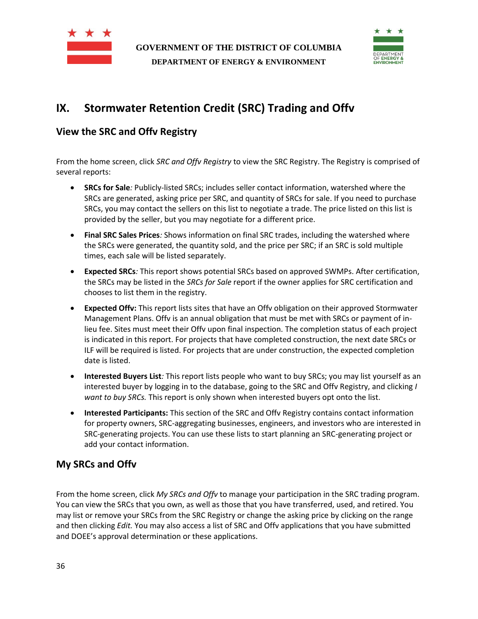



# <span id="page-35-0"></span>**IX. Stormwater Retention Credit (SRC) Trading and Offv**

## <span id="page-35-1"></span>**View the SRC and Offv Registry**

From the home screen, click *SRC and Offv Registry* to view the SRC Registry. The Registry is comprised of several reports:

- **SRCs for Sale***:* Publicly-listed SRCs; includes seller contact information, watershed where the SRCs are generated, asking price per SRC, and quantity of SRCs for sale. If you need to purchase SRCs, you may contact the sellers on this list to negotiate a trade. The price listed on this list is provided by the seller, but you may negotiate for a different price.
- **Final SRC Sales Prices***:* Shows information on final SRC trades, including the watershed where the SRCs were generated, the quantity sold, and the price per SRC; if an SRC is sold multiple times, each sale will be listed separately.
- **Expected SRCs***:* This report shows potential SRCs based on approved SWMPs. After certification, the SRCs may be listed in the *SRCs for Sale* report if the owner applies for SRC certification and chooses to list them in the registry.
- **Expected Offv:** This report lists sites that have an Offv obligation on their approved Stormwater Management Plans. Offv is an annual obligation that must be met with SRCs or payment of inlieu fee. Sites must meet their Offv upon final inspection. The completion status of each project is indicated in this report. For projects that have completed construction, the next date SRCs or ILF will be required is listed. For projects that are under construction, the expected completion date is listed.
- **Interested Buyers List***:* This report lists people who want to buy SRCs; you may list yourself as an interested buyer by logging in to the database, going to the SRC and Offv Registry, and clicking *I want to buy SRCs.* This report is only shown when interested buyers opt onto the list.
- **Interested Participants:** This section of the SRC and Offv Registry contains contact information for property owners, SRC-aggregating businesses, engineers, and investors who are interested in SRC-generating projects. You can use these lists to start planning an SRC-generating project or add your contact information.

## <span id="page-35-2"></span>**My SRCs and Offv**

From the home screen, click *My SRCs and Offv* to manage your participation in the SRC trading program. You can view the SRCs that you own, as well as those that you have transferred, used, and retired. You may list or remove your SRCs from the SRC Registry or change the asking price by clicking on the range and then clicking *Edit.* You may also access a list of SRC and Offv applications that you have submitted and DOEE's approval determination or these applications.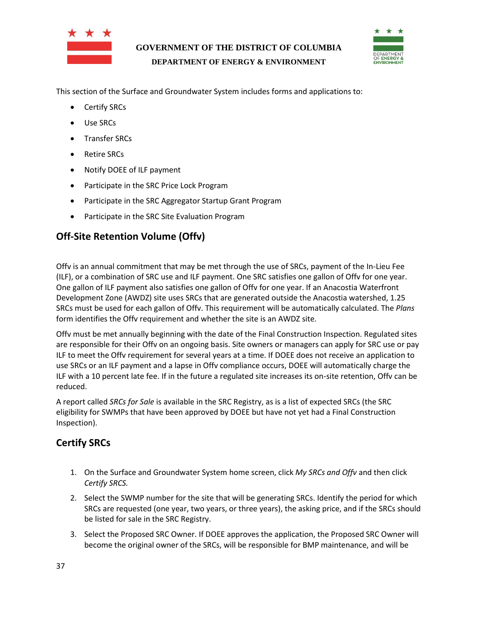



This section of the Surface and Groundwater System includes forms and applications to:

- Certify SRCs
- Use SRCs
- Transfer SRCs
- Retire SRCs
- Notify DOEE of ILF payment
- Participate in the SRC Price Lock Program
- Participate in the SRC Aggregator Startup Grant Program
- Participate in the SRC Site Evaluation Program

## <span id="page-36-0"></span>**Off-Site Retention Volume (Offv)**

Offv is an annual commitment that may be met through the use of SRCs, payment of the In-Lieu Fee (ILF), or a combination of SRC use and ILF payment. One SRC satisfies one gallon of Offv for one year. One gallon of ILF payment also satisfies one gallon of Offv for one year. If an Anacostia Waterfront Development Zone (AWDZ) site uses SRCs that are generated outside the Anacostia watershed, 1.25 SRCs must be used for each gallon of Offv. This requirement will be automatically calculated. The *Plans*  form identifies the Offv requirement and whether the site is an AWDZ site.

Offv must be met annually beginning with the date of the Final Construction Inspection. Regulated sites are responsible for their Offv on an ongoing basis. Site owners or managers can apply for SRC use or pay ILF to meet the Offv requirement for several years at a time. If DOEE does not receive an application to use SRCs or an ILF payment and a lapse in Offv compliance occurs, DOEE will automatically charge the ILF with a 10 percent late fee. If in the future a regulated site increases its on-site retention, Offv can be reduced.

A report called *SRCs for Sale* is available in the SRC Registry, as is a list of expected SRCs (the SRC eligibility for SWMPs that have been approved by DOEE but have not yet had a Final Construction Inspection).

## <span id="page-36-1"></span>**Certify SRCs**

- 1. On the Surface and Groundwater System home screen, click *My SRCs and Offv* and then click *Certify SRCS.*
- 2. Select the SWMP number for the site that will be generating SRCs. Identify the period for which SRCs are requested (one year, two years, or three years), the asking price, and if the SRCs should be listed for sale in the SRC Registry.
- 3. Select the Proposed SRC Owner. If DOEE approves the application, the Proposed SRC Owner will become the original owner of the SRCs, will be responsible for BMP maintenance, and will be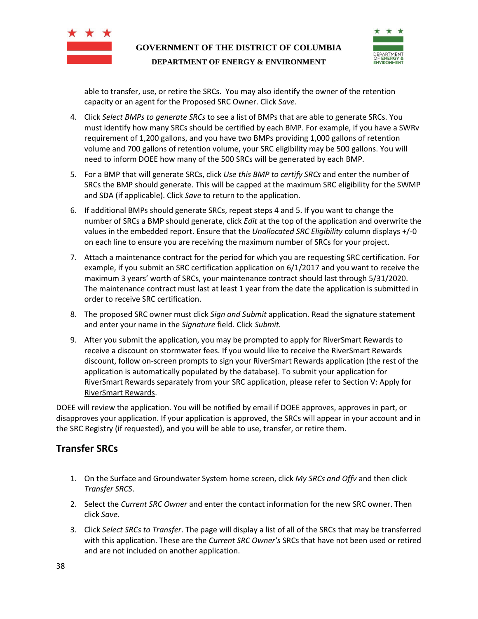



able to transfer, use, or retire the SRCs. You may also identify the owner of the retention capacity or an agent for the Proposed SRC Owner. Click *Save.*

- 4. Click *Select BMPs to generate SRCs* to see a list of BMPs that are able to generate SRCs. You must identify how many SRCs should be certified by each BMP. For example, if you have a SWRv requirement of 1,200 gallons, and you have two BMPs providing 1,000 gallons of retention volume and 700 gallons of retention volume, your SRC eligibility may be 500 gallons. You will need to inform DOEE how many of the 500 SRCs will be generated by each BMP.
- 5. For a BMP that will generate SRCs, click *Use this BMP to certify SRCs* and enter the number of SRCs the BMP should generate. This will be capped at the maximum SRC eligibility for the SWMP and SDA (if applicable). Click *Save* to return to the application.
- 6. If additional BMPs should generate SRCs, repeat steps 4 and 5. If you want to change the number of SRCs a BMP should generate, click *Edit* at the top of the application and overwrite the values in the embedded report. Ensure that the *Unallocated SRC Eligibility* column displays +/-0 on each line to ensure you are receiving the maximum number of SRCs for your project.
- 7. Attach a maintenance contract for the period for which you are requesting SRC certification. For example, if you submit an SRC certification application on 6/1/2017 and you want to receive the maximum 3 years' worth of SRCs, your maintenance contract should last through 5/31/2020. The maintenance contract must last at least 1 year from the date the application is submitted in order to receive SRC certification.
- 8. The proposed SRC owner must click *Sign and Submit* application. Read the signature statement and enter your name in the *Signature* field. Click *Submit.*
- 9. After you submit the application, you may be prompted to apply for RiverSmart Rewards to receive a discount on stormwater fees. If you would like to receive the RiverSmart Rewards discount, follow on-screen prompts to sign your RiverSmart Rewards application (the rest of the application is automatically populated by the database). To submit your application for RiverSmart Rewards separately from your SRC application, please refer to Section V: Apply for [RiverSmart Rewards.](#page-10-0)

DOEE will review the application. You will be notified by email if DOEE approves, approves in part, or disapproves your application. If your application is approved, the SRCs will appear in your account and in the SRC Registry (if requested), and you will be able to use, transfer, or retire them.

## <span id="page-37-0"></span>**Transfer SRCs**

- 1. On the Surface and Groundwater System home screen, click *My SRCs and Offv* and then click *Transfer SRCS*.
- 2. Select the *Current SRC Owner* and enter the contact information for the new SRC owner. Then click *Save.*
- 3. Click *Select SRCs to Transfer*. The page will display a list of all of the SRCs that may be transferred with this application. These are the *Current SRC Owner's* SRCs that have not been used or retired and are not included on another application.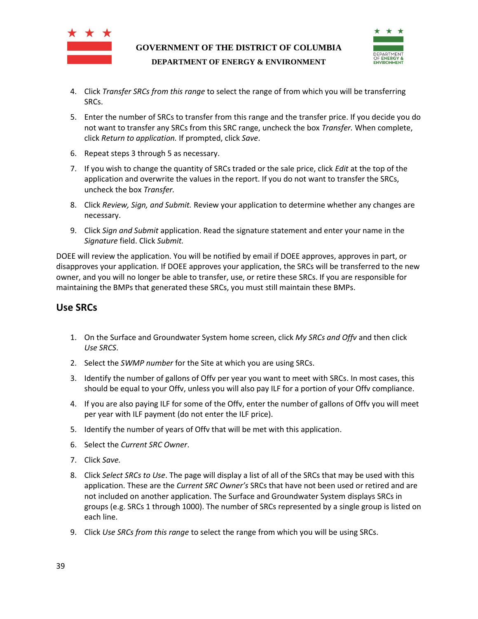



- 4. Click *Transfer SRCs from this range* to select the range of from which you will be transferring SRCs.
- 5. Enter the number of SRCs to transfer from this range and the transfer price. If you decide you do not want to transfer any SRCs from this SRC range, uncheck the box *Transfer.* When complete, click *Return to application.* If prompted, click *Save*.
- 6. Repeat steps 3 through 5 as necessary.
- 7. If you wish to change the quantity of SRCs traded or the sale price, click *Edit* at the top of the application and overwrite the values in the report. If you do not want to transfer the SRCs, uncheck the box *Transfer.*
- 8. Click *Review, Sign, and Submit.* Review your application to determine whether any changes are necessary.
- 9. Click *Sign and Submit* application. Read the signature statement and enter your name in the *Signature* field. Click *Submit.*

DOEE will review the application. You will be notified by email if DOEE approves, approves in part, or disapproves your application. If DOEE approves your application, the SRCs will be transferred to the new owner, and you will no longer be able to transfer, use, or retire these SRCs. If you are responsible for maintaining the BMPs that generated these SRCs, you must still maintain these BMPs.

## <span id="page-38-0"></span>**Use SRCs**

- 1. On the Surface and Groundwater System home screen, click *My SRCs and Offv* and then click *Use SRCS*.
- 2. Select the *SWMP number* for the Site at which you are using SRCs.
- 3. Identify the number of gallons of Offv per year you want to meet with SRCs. In most cases, this should be equal to your Offv, unless you will also pay ILF for a portion of your Offv compliance.
- 4. If you are also paying ILF for some of the Offv, enter the number of gallons of Offv you will meet per year with ILF payment (do not enter the ILF price).
- 5. Identify the number of years of Offv that will be met with this application.
- 6. Select the *Current SRC Owner*.
- 7. Click *Save.*
- 8. Click *Select SRCs to Use*. The page will display a list of all of the SRCs that may be used with this application. These are the *Current SRC Owner's* SRCs that have not been used or retired and are not included on another application. The Surface and Groundwater System displays SRCs in groups (e.g. SRCs 1 through 1000). The number of SRCs represented by a single group is listed on each line.
- 9. Click *Use SRCs from this range* to select the range from which you will be using SRCs.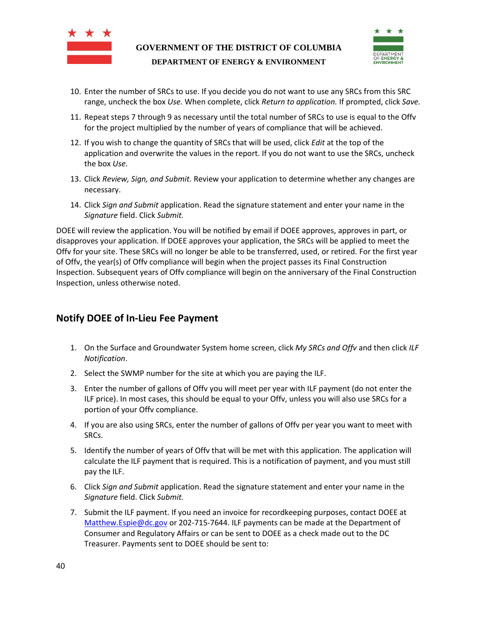



- 10. Enter the number of SRCs to use. If you decide you do not want to use any SRCs from this SRC range, uncheck the box *Use.* When complete, click *Return to application.* If prompted, click *Save.*
- 11. Repeat steps 7 through 9 as necessary until the total number of SRCs to use is equal to the Offv for the project multiplied by the number of years of compliance that will be achieved.
- 12. If you wish to change the quantity of SRCs that will be used, click *Edit* at the top of the application and overwrite the values in the report. If you do not want to use the SRCs, uncheck the box *Use.*
- 13. Click *Review, Sign, and Submit.* Review your application to determine whether any changes are necessary.
- 14. Click *Sign and Submit* application. Read the signature statement and enter your name in the *Signature* field. Click *Submit.*

DOEE will review the application. You will be notified by email if DOEE approves, approves in part, or disapproves your application. If DOEE approves your application, the SRCs will be applied to meet the Offv for your site. These SRCs will no longer be able to be transferred, used, or retired. For the first year of Offv, the year(s) of Offv compliance will begin when the project passes its Final Construction Inspection. Subsequent years of Offv compliance will begin on the anniversary of the Final Construction Inspection, unless otherwise noted.

## <span id="page-39-0"></span>**Notify DOEE of In-Lieu Fee Payment**

- 1. On the Surface and Groundwater System home screen, click *My SRCs and Offv* and then click *ILF Notification*.
- 2. Select the SWMP number for the site at which you are paying the ILF.
- 3. Enter the number of gallons of Offv you will meet per year with ILF payment (do not enter the ILF price). In most cases, this should be equal to your Offv, unless you will also use SRCs for a portion of your Offv compliance.
- 4. If you are also using SRCs, enter the number of gallons of Offv per year you want to meet with SRCs.
- 5. Identify the number of years of Offv that will be met with this application. The application will calculate the ILF payment that is required. This is a notification of payment, and you must still pay the ILF.
- 6. Click *Sign and Submit* application. Read the signature statement and enter your name in the *Signature* field. Click *Submit.*
- 7. Submit the ILF payment. If you need an invoice for recordkeeping purposes, contact DOEE at [Matthew.Espie@dc.gov](mailto:Matthew.Espie@dc.gov) or 202-715-7644. ILF payments can be made at the Department of Consumer and Regulatory Affairs or can be sent to DOEE as a check made out to the DC Treasurer. Payments sent to DOEE should be sent to: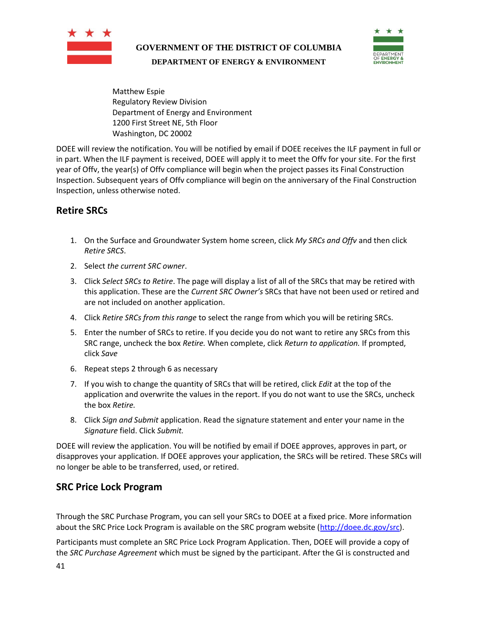



Matthew Espie Regulatory Review Division Department of Energy and Environment 1200 First Street NE, 5th Floor Washington, DC 20002

DOEE will review the notification. You will be notified by email if DOEE receives the ILF payment in full or in part. When the ILF payment is received, DOEE will apply it to meet the Offv for your site. For the first year of Offv, the year(s) of Offv compliance will begin when the project passes its Final Construction Inspection. Subsequent years of Offv compliance will begin on the anniversary of the Final Construction Inspection, unless otherwise noted.

## <span id="page-40-0"></span>**Retire SRCs**

- 1. On the Surface and Groundwater System home screen, click *My SRCs and Offv* and then click *Retire SRCS*.
- 2. Select *the current SRC owner*.
- 3. Click *Select SRCs to Retire*. The page will display a list of all of the SRCs that may be retired with this application. These are the *Current SRC Owner's* SRCs that have not been used or retired and are not included on another application.
- 4. Click *Retire SRCs from this range* to select the range from which you will be retiring SRCs.
- 5. Enter the number of SRCs to retire. If you decide you do not want to retire any SRCs from this SRC range, uncheck the box *Retire.* When complete, click *Return to application.* If prompted, click *Save*
- 6. Repeat steps 2 through 6 as necessary
- 7. If you wish to change the quantity of SRCs that will be retired, click *Edit* at the top of the application and overwrite the values in the report. If you do not want to use the SRCs, uncheck the box *Retire.*
- 8. Click *Sign and Submit* application. Read the signature statement and enter your name in the *Signature* field. Click *Submit.*

DOEE will review the application. You will be notified by email if DOEE approves, approves in part, or disapproves your application. If DOEE approves your application, the SRCs will be retired. These SRCs will no longer be able to be transferred, used, or retired.

## <span id="page-40-1"></span>**SRC Price Lock Program**

Through the SRC Purchase Program, you can sell your SRCs to DOEE at a fixed price. More information about the SRC Price Lock Program is available on the SRC program website [\(http://doee.dc.gov/src\)](http://doee.dc.gov/src).

Participants must complete an SRC Price Lock Program Application. Then, DOEE will provide a copy of the *SRC Purchase Agreement* which must be signed by the participant. After the GI is constructed and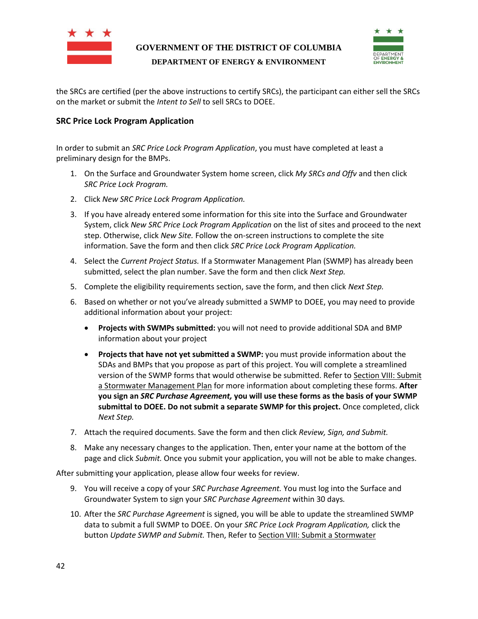



the SRCs are certified (per the above instructions to certify SRCs), the participant can either sell the SRCs on the market or submit the *Intent to Sell* to sell SRCs to DOEE.

#### <span id="page-41-0"></span>**SRC Price Lock Program Application**

In order to submit an *SRC Price Lock Program Application*, you must have completed at least a preliminary design for the BMPs.

- 1. On the Surface and Groundwater System home screen, click *My SRCs and Offv* and then click *SRC Price Lock Program.*
- 2. Click *New SRC Price Lock Program Application.*
- 3. If you have already entered some information for this site into the Surface and Groundwater System, click *New SRC Price Lock Program Application* on the list of sites and proceed to the next step. Otherwise, click *New Site.* Follow the on-screen instructions to complete the site information. Save the form and then click *SRC Price Lock Program Application.*
- 4. Select the *Current Project Status.* If a Stormwater Management Plan (SWMP) has already been submitted, select the plan number. Save the form and then click *Next Step.*
- 5. Complete the eligibility requirements section, save the form, and then click *Next Step.*
- 6. Based on whether or not you've already submitted a SWMP to DOEE, you may need to provide additional information about your project:
	- **Projects with SWMPs submitted:** you will not need to provide additional SDA and BMP information about your project
	- **Projects that have not yet submitted a SWMP:** you must provide information about the SDAs and BMPs that you propose as part of this project. You will complete a streamlined version of the SWMP forms that would otherwise be submitted. Refer to Sectio[n VIII: Submit](#page-18-0)  [a Stormwater Management Plan](#page-18-0) for more information about completing these forms. **After you sign an** *SRC Purchase Agreement,* **you will use these forms as the basis of your SWMP submittal to DOEE. Do not submit a separate SWMP for this project.** Once completed, click *Next Step.*
- 7. Attach the required documents. Save the form and then click *Review, Sign, and Submit.*
- 8. Make any necessary changes to the application. Then, enter your name at the bottom of the page and click *Submit.* Once you submit your application, you will not be able to make changes.

After submitting your application, please allow four weeks for review.

- 9. You will receive a copy of your *SRC Purchase Agreement.* You must log into the Surface and Groundwater System to sign your *SRC Purchase Agreement* within 30 days*.*
- 10. After the *SRC Purchase Agreement* is signed, you will be able to update the streamlined SWMP data to submit a full SWMP to DOEE. On your *SRC Price Lock Program Application,* click the button *Update SWMP and Submit.* Then, Refer to Sectio[n VIII: Submit a Stormwater](#page-18-0)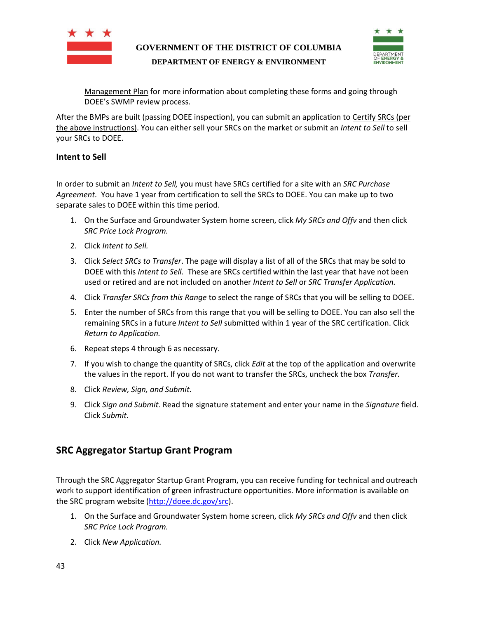



[Management Plan](#page-18-0) for more information about completing these forms and going through DOEE's SWMP review process.

After the BMPs are built (passing DOEE inspection), you can submit an application t[o Certify SRCs](#page-36-1) (per the above instructions). You can either sell your SRCs on the market or submit an *Intent to Sell* to sell your SRCs to DOEE.

#### <span id="page-42-0"></span>**Intent to Sell**

In order to submit an *Intent to Sell,* you must have SRCs certified for a site with an *SRC Purchase Agreement.* You have 1 year from certification to sell the SRCs to DOEE. You can make up to two separate sales to DOEE within this time period.

- 1. On the Surface and Groundwater System home screen, click *My SRCs and Offv* and then click *SRC Price Lock Program.*
- 2. Click *Intent to Sell.*
- 3. Click *Select SRCs to Transfer*. The page will display a list of all of the SRCs that may be sold to DOEE with this *Intent to Sell.* These are SRCs certified within the last year that have not been used or retired and are not included on another *Intent to Sell* or *SRC Transfer Application.*
- 4. Click *Transfer SRCs from this Range* to select the range of SRCs that you will be selling to DOEE.
- 5. Enter the number of SRCs from this range that you will be selling to DOEE. You can also sell the remaining SRCs in a future *Intent to Sell* submitted within 1 year of the SRC certification. Click *Return to Application.*
- 6. Repeat steps 4 through 6 as necessary.
- 7. If you wish to change the quantity of SRCs, click *Edit* at the top of the application and overwrite the values in the report. If you do not want to transfer the SRCs, uncheck the box *Transfer.*
- 8. Click *Review, Sign, and Submit.*
- 9. Click *Sign and Submit*. Read the signature statement and enter your name in the *Signature* field. Click *Submit.*

## <span id="page-42-1"></span>**SRC Aggregator Startup Grant Program**

Through the SRC Aggregator Startup Grant Program, you can receive funding for technical and outreach work to support identification of green infrastructure opportunities. More information is available on the SRC program website [\(http://doee.dc.gov/src\)](http://doee.dc.gov/src).

- 1. On the Surface and Groundwater System home screen, click *My SRCs and Offv* and then click *SRC Price Lock Program.*
- 2. Click *New Application.*